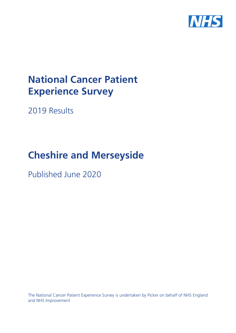

# **National Cancer Patient Experience Survey**

2019 Results

# **Cheshire and Merseyside**

Published June 2020

The National Cancer Patient Experience Survey is undertaken by Picker on behalf of NHS England and NHS Improvement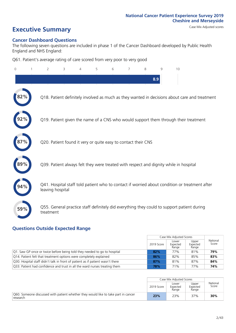## **Executive Summary** Case Mix Adjusted scores

#### **Cancer Dashboard Questions**

The following seven questions are included in phase 1 of the Cancer Dashboard developed by Public Health England and NHS England:

Q61. Patient's average rating of care scored from very poor to very good

| 0   | $\overline{2}$                                                | 3 | $\overline{4}$ | 5 | 6 | $\overline{7}$ | 8 | 9   | 10                                                                                            |  |
|-----|---------------------------------------------------------------|---|----------------|---|---|----------------|---|-----|-----------------------------------------------------------------------------------------------|--|
|     |                                                               |   |                |   |   |                |   | 8.9 |                                                                                               |  |
| 82% |                                                               |   |                |   |   |                |   |     | Q18. Patient definitely involved as much as they wanted in decisions about care and treatment |  |
|     |                                                               |   |                |   |   |                |   |     | Q19. Patient given the name of a CNS who would support them through their treatment           |  |
|     | Q20. Patient found it very or quite easy to contact their CNS |   |                |   |   |                |   |     |                                                                                               |  |
| 89% |                                                               |   |                |   |   |                |   |     | Q39. Patient always felt they were treated with respect and dignity while in hospital         |  |
| 94% | leaving hospital                                              |   |                |   |   |                |   |     | Q41. Hospital staff told patient who to contact if worried about condition or treatment after |  |
| 59% | treatment                                                     |   |                |   |   |                |   |     | Q55. General practice staff definitely did everything they could to support patient during    |  |

### **Questions Outside Expected Range**

|                                                                                |            | Case Mix Adjusted Scores   |                            |                   |
|--------------------------------------------------------------------------------|------------|----------------------------|----------------------------|-------------------|
|                                                                                | 2019 Score | Lower<br>Expected<br>Range | Upper<br>Expected<br>Range | National<br>Score |
| Q1. Saw GP once or twice before being told they needed to go to hospital       | 82%        | 77%                        | 81%                        | 79%               |
| Q14. Patient felt that treatment options were completely explained             | 86%        | 82%                        | 85%                        | 83%               |
| Q30. Hospital staff didn't talk in front of patient as if patient wasn't there | 87%        | 81%                        | 87%                        | 84%               |
| Q33. Patient had confidence and trust in all the ward nurses treating them     | 78%        | 71%                        | 77%                        | 74%               |

|                                                                                                |            | Case Mix Adjusted Scores   |                            |                   |
|------------------------------------------------------------------------------------------------|------------|----------------------------|----------------------------|-------------------|
|                                                                                                | 2019 Score | Lower<br>Expected<br>Range | Upper<br>Expected<br>Range | National<br>Score |
| Q60. Someone discussed with patient whether they would like to take part in cancer<br>research | 23%        | 23%                        | 37%                        | 30%               |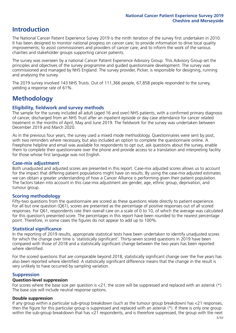### **Introduction**

The National Cancer Patient Experience Survey 2019 is the ninth iteration of the survey first undertaken in 2010. It has been designed to monitor national progress on cancer care; to provide information to drive local quality improvements; to assist commissioners and providers of cancer care; and to inform the work of the various charities and stakeholder groups supporting cancer patients.

The survey was overseen by a national Cancer Patient Experience Advisory Group. This Advisory Group set the principles and objectives of the survey programme and guided questionnaire development. The survey was commissioned and managed by NHS England. The survey provider, Picker, is responsible for designing, running and analysing the survey.

The 2019 survey involved 143 NHS Trusts. Out of 111,366 people, 67,858 people responded to the survey, yielding a response rate of 61%.

### **Methodology**

#### **Eligibility, fieldwork and survey methods**

The sample for the survey included all adult (aged 16 and over) NHS patients, with a confirmed primary diagnosis of cancer, discharged from an NHS Trust after an inpatient episode or day case attendance for cancer related treatment in the months of April, May and June 2019. The fieldwork for the survey was undertaken between December 2019 and March 2020.

As in the previous four years, the survey used a mixed mode methodology. Questionnaires were sent by post, with two reminders where necessary, but also included an option to complete the questionnaire online. A Freephone helpline and email was available for respondents to opt out, ask questions about the survey, enable them to complete their questionnaire over the phone and provide access to a translation and interpreting facility for those whose first language was not English.

#### **Case-mix adjustment**

Both unadjusted and adjusted scores are presented in this report. Case-mix adjusted scores allows us to account for the impact that differing patient populations might have on results. By using the case-mix adjusted estimates we can obtain a greater understanding of how a Cancer Alliance is performing given their patient population. The factors taken into account in this case-mix adjustment are gender, age, ethnic group, deprivation, and tumour group.

#### **Scoring methodology**

Fifty-two questions from the questionnaire are scored as these questions relate directly to patient experience. For all but one question (Q61), scores are presented as the percentage of positive responses out of all scored responses. For Q61, respondents rate their overall care on a scale of 0 to 10, of which the average was calculated for this question's presented score. The percentages in this report have been rounded to the nearest percentage point. Therefore, in some cases the figures do not appear to add up to 100%.

#### **Statistical significance**

In the reporting of 2019 results, appropriate statistical tests have been undertaken to identify unadjusted scores for which the change over time is 'statistically significant'. Thirty-seven scored questions in 2019 have been compared with those of 2018 and a statistically significant change between the two years has been reported where identified.

For the scored questions that are comparable beyond 2018, statistically significant change over the five years has also been reported where identified. A statistically significant difference means that the change in the result is very unlikely to have occurred by sampling variation.

#### **Suppression**

#### **Question-level suppression**

For scores where the base size per question is  $<$ 21, the score will be suppressed and replaced with an asterisk (\*). The base size will include neutral response options.

#### **Double suppression**

If any group within a particular sub-group breakdown (such as the tumour group breakdown) has <21 responses, then the figure for this particular group is suppressed and replaced with an asterisk (\*). If there is only one group within the sub-group breakdown that has <21 respondents, and is therefore suppressed, the group with the next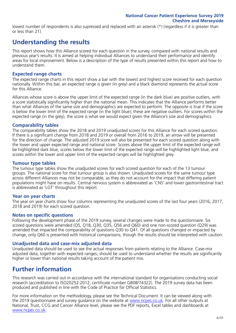lowest number of respondents is also supressed and replaced with an asterisk (\*) (regardless if it is greater than or less than 21).

### **Understanding the results**

This report shows how this Alliance scored for each question in the survey, compared with national results and previous year's results. It is aimed at helping individual Alliances to understand their performance and identify areas for local improvement. Below is a description of the type of results presented within this report and how to understand them.

#### **Expected range charts**

The expected range charts in this report show a bar with the lowest and highest score received for each question nationally. Within this bar, an expected range is given (in grey) and a black diamond represents the actual score for this Alliance.

Alliances whose score is above the upper limit of the expected range (in the dark blue) are positive outliers, with a score statistically significantly higher than the national mean. This indicates that the Alliance performs better than what Alliances of the same size and demographics are expected to perform. The opposite is true if the score is below the lower limit of the expected range (in the light blue); these are negative outliers. For scores within the expected range (in the grey), the score is what we would expect given the Alliance's size and demographics.

#### **Comparability tables**

The comparability tables show the 2018 and 2019 unadjusted scores for this Alliance for each scored question. If there is a significant change from 2018 and 2019 or overall from 2016 to 2019, an arrow will be presented for the direction of change. The adjusted 2019 score will also be presented for each scored question along with the lower and upper expected range and national score. Scores above the upper limit of the expected range will be highlighted dark blue, scores below the lower limit of the expected range will be highlighted light blue, and scores within the lower and upper limit of the expected ranges will be highlighted grey.

#### **Tumour type tables**

The tumour type tables show the unadjusted scores for each scored question for each of the 13 tumour groups. The national score for that tumour group is also shown. Unadjusted scores for the same tumour type across different Alliances may not be comparable, as they do not account for the impact that differing patient populations might have on results. Central nervous system is abbreviated as 'CNS' and lower gastrointestinal tract is abbreviated as 'LGT' throughout this report.

#### **Year on year charts**

The year on year charts show four columns representing the unadjusted scores of the last four years (2016, 2017, 2018 and 2019) for each scored question.

#### **Notes on specific questions**

Following the development phase of the 2019 survey, several changes were made to the questionnaire. Six scored questions were amended (Q5, Q18, Q30, Q35, Q56 and Q60) and one non-scored question (Q29) was amended that impacted the comparability of questions Q30 to Q41. Of all questions changed or impacted by change, only Q60 is presented with historical comparisons; though the results should be interpreted with caution.

#### **Unadjusted data and case-mix adjusted data**

Unadjusted data should be used to see the actual responses from patients relating to the Alliance. Case-mix adjusted data, together with expected ranges, should be used to understand whether the results are significantly higher or lower than national results taking account of the patient mix.

### **Further information**

This research was carried out in accordance with the international standard for organisations conducting social research (accreditation to ISO20252:2012; certificate number GB08/74322). The 2019 survey data has been produced and published in line with the Code of Practice for Official Statistics.

For more information on the methodology, please see the Technical Document. It can be viewed along with the 2019 questionnaire and survey guidance on the website at [www.ncpes.co.uk](https://www.ncpes.co.uk/supporting-documents). For all other outputs at National, Trust, CCG and Cancer Alliance level, please see the PDF reports, Excel tables and dashboards at [www.ncpes.co.uk.](https://www.ncpes.co.uk/current-results)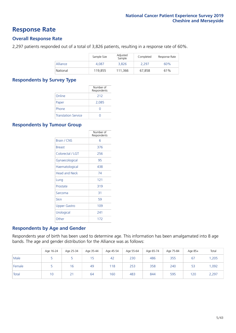### **Response Rate**

#### **Overall Response Rate**

2,297 patients responded out of a total of 3,826 patients, resulting in a response rate of 60%.

|          | Sample Size | Adjusted<br>Sample | Completed | Response Rate |
|----------|-------------|--------------------|-----------|---------------|
| Alliance | 4.087       | 3.826              | 2.297     | 60%           |
| National | 119,855     | 111.366            | 67.858    | 61%           |

#### **Respondents by Survey Type**

|                            | Number of<br>Respondents |
|----------------------------|--------------------------|
| Online                     | 212                      |
| Paper                      | 2,085                    |
| Phone                      |                          |
| <b>Translation Service</b> |                          |

#### **Respondents by Tumour Group**

|                      | Number of<br>Respondents |
|----------------------|--------------------------|
| <b>Brain / CNS</b>   | հ                        |
| <b>Breast</b>        | 376                      |
| Colorectal / LGT     | 256                      |
| Gynaecological       | 95                       |
| Haematological       | 438                      |
| <b>Head and Neck</b> | 74                       |
| Lung                 | 121                      |
| Prostate             | 319                      |
| Sarcoma              | 31                       |
| Skin                 | 59                       |
| Upper Gastro         | 109                      |
| Urological           | 241                      |
| Other                | 172                      |

#### **Respondents by Age and Gender**

Respondents year of birth has been used to determine age. This information has been amalgamated into 8 age bands. The age and gender distribution for the Alliance was as follows:

|        | Age 16-24 | Age 25-34 | Age 35-44 | Age 45-54 | Age 55-64 | Age 65-74 | Age 75-84 | Age 85+ | Total |
|--------|-----------|-----------|-----------|-----------|-----------|-----------|-----------|---------|-------|
| Male   |           |           | 15        | 42        | 230       | 486       | 355       | 67      | ,205  |
| Female |           | 16        | 49        | 118       | 253       | 358       | 240       | 53      | ,092  |
| Total  | 10        |           | 64        | 160       | 483       | 844       | 595       | 120     | 2,297 |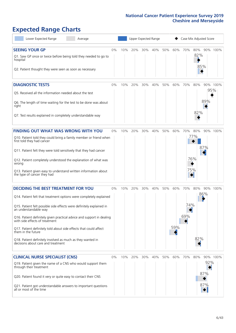## **Expected Range Charts**

| Lower Expected Range<br>Average                                                                                                                                                                                                                                                                |       |     |     | Upper Expected Range |     |     |     | Case Mix Adjusted Score |                   |                   |          |
|------------------------------------------------------------------------------------------------------------------------------------------------------------------------------------------------------------------------------------------------------------------------------------------------|-------|-----|-----|----------------------|-----|-----|-----|-------------------------|-------------------|-------------------|----------|
| <b>SEEING YOUR GP</b><br>Q1. Saw GP once or twice before being told they needed to go to<br>hospital<br>Q2. Patient thought they were seen as soon as necessary                                                                                                                                | $0\%$ | 10% | 20% | 30%                  | 40% | 50% | 60% | 70%                     | 80%<br>82%<br>85% |                   | 90% 100% |
| <b>DIAGNOSTIC TESTS</b><br>Q5. Received all the information needed about the test<br>Q6. The length of time waiting for the test to be done was about<br>right                                                                                                                                 | $0\%$ | 10% | 20% | 30%                  | 40% | 50% | 60% | 70%                     | 80%               | 95%<br>89%        | 90% 100% |
| Q7. Test results explained in completely understandable way                                                                                                                                                                                                                                    |       |     |     |                      |     |     |     |                         | 82%               |                   |          |
| <b>FINDING OUT WHAT WAS WRONG WITH YOU</b><br>Q10. Patient told they could bring a family member or friend when<br>first told they had cancer                                                                                                                                                  | $0\%$ | 10% | 20% | 30%                  | 40% | 50% | 60% | 70%                     | 80%<br>77%        |                   | 90% 100% |
| Q11. Patient felt they were told sensitively that they had cancer<br>Q12. Patient completely understood the explanation of what was<br>wrong                                                                                                                                                   |       |     |     |                      |     |     |     |                         | 76%               | 87%               |          |
| Q13. Patient given easy to understand written information about<br>the type of cancer they had<br><b>DECIDING THE BEST TREATMENT FOR YOU</b>                                                                                                                                                   | $0\%$ | 10% | 20% | 30%                  | 40% | 50% | 60% | 70%                     | 75%<br>80%        |                   | 90% 100% |
| Q14. Patient felt that treatment options were completely explained<br>Q15. Patient felt possible side effects were definitely explained in<br>an understandable way<br>Q16. Patient definitely given practical advice and support in dealing<br>with side effects of treatment                 |       |     |     |                      |     |     |     | 74%<br>69%              |                   | 86%               |          |
| Q17. Patient definitely told about side effects that could affect<br>them in the future<br>Q18. Patient definitely involved as much as they wanted in<br>decisions about care and treatment                                                                                                    |       |     |     |                      |     |     | 59% |                         | 82%               |                   |          |
| <b>CLINICAL NURSE SPECIALIST (CNS)</b><br>Q19. Patient given the name of a CNS who would support them<br>through their treatment<br>Q20. Patient found it very or quite easy to contact their CNS<br>Q21. Patient got understandable answers to important questions<br>all or most of the time | $0\%$ | 10% | 20% | 30%                  | 40% | 50% | 60% | 70%                     | 80%               | 92%<br>87%<br>87% | 90% 100% |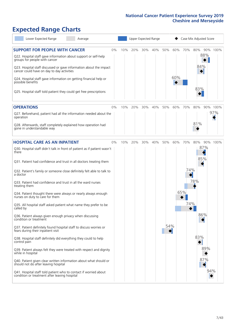## **Expected Range Charts**

| Lower Expected Range<br>Average                                                                                                                                                                                       |     | Upper Expected Range |     |     |     |                 |                        | Case Mix Adjusted Score |          |
|-----------------------------------------------------------------------------------------------------------------------------------------------------------------------------------------------------------------------|-----|----------------------|-----|-----|-----|-----------------|------------------------|-------------------------|----------|
| <b>SUPPORT FOR PEOPLE WITH CANCER</b><br>0%<br>Q22. Hospital staff gave information about support or self-help<br>groups for people with cancer<br>Q23. Hospital staff discussed or gave information about the impact | 10% | 20%                  | 30% | 40% | 50% | 60%             | 70%                    | 80%<br>88%<br>84%       | 90% 100% |
| cancer could have on day to day activities<br>Q24. Hospital staff gave information on getting financial help or<br>possible benefits<br>Q25. Hospital staff told patient they could get free prescriptions            |     |                      |     |     |     | 60%             |                        | 83%                     |          |
|                                                                                                                                                                                                                       |     |                      |     |     |     |                 |                        |                         |          |
| <b>OPERATIONS</b><br>0%                                                                                                                                                                                               | 10% | 20%                  | 30% | 40% | 50% | 60%             | 70%                    | 80%                     | 90% 100% |
| Q27. Beforehand, patient had all the information needed about the<br>operation                                                                                                                                        |     |                      |     |     |     |                 |                        |                         | 97%      |
| Q28. Afterwards, staff completely explained how operation had<br>gone in understandable way                                                                                                                           |     |                      |     |     |     |                 |                        | 81%                     |          |
| <b>HOSPITAL CARE AS AN INPATIENT</b><br>0%                                                                                                                                                                            | 10% | 20%                  | 30% | 40% | 50% | 60%             | 70%                    | 80%<br>90%              | 100%     |
| Q30. Hospital staff didn't talk in front of patient as if patient wasn't<br>there                                                                                                                                     |     |                      |     |     |     |                 |                        | 87%                     |          |
| Q31. Patient had confidence and trust in all doctors treating them                                                                                                                                                    |     |                      |     |     |     |                 |                        | 85%                     |          |
| Q32. Patient's family or someone close definitely felt able to talk to<br>a doctor                                                                                                                                    |     |                      |     |     |     |                 | 74%<br>$\blacklozenge$ |                         |          |
| Q33. Patient had confidence and trust in all the ward nurses<br>treating them                                                                                                                                         |     |                      |     |     |     |                 |                        | 78%                     |          |
| Q34. Patient thought there were always or nearly always enough<br>nurses on duty to care for them                                                                                                                     |     |                      |     |     |     |                 | 65%                    |                         |          |
| Q35. All hospital staff asked patient what name they prefer to be<br>called by                                                                                                                                        |     |                      |     |     |     |                 | 74%                    |                         |          |
| Q36. Patient always given enough privacy when discussing<br>condition or treatment                                                                                                                                    |     |                      |     |     |     |                 |                        | 86%                     |          |
| Q37. Patient definitely found hospital staff to discuss worries or<br>fears during their inpatient visit                                                                                                              |     |                      |     |     | 54% | $\blacklozenge$ |                        |                         |          |
| Q38. Hospital staff definitely did everything they could to help<br>control pain                                                                                                                                      |     |                      |     |     |     |                 |                        | 83%                     |          |
| Q39. Patient always felt they were treated with respect and dignity<br>while in hospital                                                                                                                              |     |                      |     |     |     |                 |                        | 89%                     |          |
| Q40. Patient given clear written information about what should or<br>should not do after leaving hospital                                                                                                             |     |                      |     |     |     |                 |                        | 87%                     |          |
| Q41. Hospital staff told patient who to contact if worried about<br>condition or treatment after leaving hospital                                                                                                     |     |                      |     |     |     |                 |                        |                         | 94%      |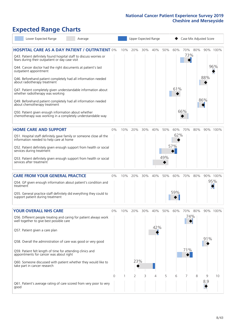# **Expected Range Charts**

| Lower Expected Range                                                                                                  |  | Average                                                             |    |     |     |     | Upper Expected Range |     |     | Case Mix Adjusted Score |     |     |          |
|-----------------------------------------------------------------------------------------------------------------------|--|---------------------------------------------------------------------|----|-----|-----|-----|----------------------|-----|-----|-------------------------|-----|-----|----------|
|                                                                                                                       |  | <b>HOSPITAL CARE AS A DAY PATIENT / OUTPATIENT 0%</b>               |    | 10% | 20% | 30% | 40%                  | 50% | 60% | 70%                     | 80% |     | 90% 100% |
| Q43. Patient definitely found hospital staff to discuss worries or<br>fears during their outpatient or day case visit |  |                                                                     |    |     |     |     |                      |     |     | 73%                     |     |     |          |
| Q44. Cancer doctor had the right documents at patient's last<br>outpatient appointment                                |  |                                                                     |    |     |     |     |                      |     |     |                         |     |     | 96%      |
| about radiotherapy treatment                                                                                          |  | Q46. Beforehand patient completely had all information needed       |    |     |     |     |                      |     |     |                         |     | 88% |          |
| whether radiotherapy was working                                                                                      |  | Q47. Patient completely given understandable information about      |    |     |     |     |                      |     | 61% |                         |     |     |          |
| about chemotherapy treatment                                                                                          |  | Q49. Beforehand patient completely had all information needed       |    |     |     |     |                      |     |     |                         |     | 86% |          |
| Q50. Patient given enough information about whether                                                                   |  | chemotherapy was working in a completely understandable way         |    |     |     |     |                      |     |     | 66%                     |     |     |          |
| <b>HOME CARE AND SUPPORT</b>                                                                                          |  |                                                                     | 0% | 10% | 20% | 30% | 40%                  | 50% |     | 60% 70%                 | 80% |     | 90% 100% |
| information needed to help care at home                                                                               |  | Q51. Hospital staff definitely gave family or someone close all the |    |     |     |     |                      |     | 62% |                         |     |     |          |
| services during treatment                                                                                             |  | Q52. Patient definitely given enough support from health or social  |    |     |     |     |                      |     | 57% |                         |     |     |          |
| services after treatment                                                                                              |  | Q53. Patient definitely given enough support from health or social  |    |     |     |     |                      | 49% |     |                         |     |     |          |
| <b>CARE FROM YOUR GENERAL PRACTICE</b>                                                                                |  |                                                                     | 0% | 10% | 20% | 30% | 40%                  | 50% | 60% | 70%                     | 80% |     | 90% 100% |
| treatment                                                                                                             |  | Q54. GP given enough information about patient's condition and      |    |     |     |     |                      |     |     |                         |     |     | 95%      |
| support patient during treatment                                                                                      |  | Q55. General practice staff definitely did everything they could to |    |     |     |     |                      |     | 59% |                         |     |     |          |
| <b>YOUR OVERALL NHS CARE</b>                                                                                          |  |                                                                     | 0% | 10% | 20% |     | 30% 40% 50%          |     | 60% | 70% 80%                 |     |     | 90% 100% |
| well together to give best possible care                                                                              |  | Q56. Different people treating and caring for patient always work   |    |     |     |     |                      |     |     | 74%                     |     |     |          |
| Q57. Patient given a care plan                                                                                        |  |                                                                     |    |     |     |     | 42%                  |     |     |                         |     |     |          |
| Q58. Overall the administration of care was good or very good                                                         |  |                                                                     |    |     |     |     |                      |     |     |                         |     | 91% |          |
| Q59. Patient felt length of time for attending clinics and<br>appointments for cancer was about right                 |  |                                                                     |    |     |     |     |                      |     |     | 71%                     |     |     |          |
| take part in cancer research                                                                                          |  | Q60. Someone discussed with patient whether they would like to      |    |     | 23% |     |                      |     |     |                         |     |     |          |
|                                                                                                                       |  |                                                                     | 0  |     | 2   | 3   | 4                    | 5   | 6   |                         | 8   | 9   | 10       |
| good                                                                                                                  |  | Q61. Patient's average rating of care scored from very poor to very |    |     |     |     |                      |     |     |                         |     | 8.9 |          |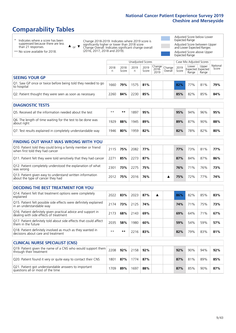### **Comparability Tables**

\* Indicates where a score has been suppressed because there are less than 21 responses.

\*\* No score available for 2018.

 $\triangle$  or  $\nabla$ 

Change 2018-2019: Indicates where 2019 score is significantly higher or lower than 2018 score Change Overall: Indicates significant change overall (2016, 2017, 2018 and 2019).

Adjusted Score below Lower Expected Range Adjusted Score between Upper and Lower Expected Ranges Adjusted Score above Upper Expected Range

|                                                                             | Unadjusted Scores<br>Case Mix Adjusted Scores |               |           |               |                                                   |         |               |                |                                     |                   |
|-----------------------------------------------------------------------------|-----------------------------------------------|---------------|-----------|---------------|---------------------------------------------------|---------|---------------|----------------|-------------------------------------|-------------------|
|                                                                             | 2018<br>n                                     | 2018<br>Score | 2019<br>n | 2019<br>Score | $\sim$  Change   Change   $\sim$<br>2018-<br>2019 | Overall | 2019<br>Score | Lower<br>Range | Upper<br>Expected Expected<br>Range | National<br>Score |
| <b>SEEING YOUR GP</b>                                                       |                                               |               |           |               |                                                   |         |               |                |                                     |                   |
| Q1. Saw GP once or twice before being told they needed to go<br>to hospital | 1660                                          | 79%           | 1575      | 81%           |                                                   |         | 82%           | 77%            | 81%                                 | 79%               |
| Q2. Patient thought they were seen as soon as necessary                     | 2260                                          | 84%           | 2230      | 85%           |                                                   |         | 85%           | 82%            | 85%                                 | 84%               |

| <b>DIAGNOSTIC TESTS</b>                                                   |      |     |      |     |  |     |     |     |     |
|---------------------------------------------------------------------------|------|-----|------|-----|--|-----|-----|-----|-----|
| O5. Received all the information needed about the test                    | $**$ | **  | 897  | 95% |  | 95% | 94% | 96% | 95% |
| Q6. The length of time waiting for the test to be done was<br>about right | 1929 | 88% | 1945 | 89% |  | 89% | 87% | 90% | 88% |
| Q7. Test results explained in completely understandable way               | 1946 | 80% | 959  | 82% |  | 82% | 78% | 82% | 80% |

| <b>FINDING OUT WHAT WAS WRONG WITH YOU</b>                                                      |      |     |      |     |  |     |     |     |     |
|-------------------------------------------------------------------------------------------------|------|-----|------|-----|--|-----|-----|-----|-----|
| Q10. Patient told they could bring a family member or friend<br>when first told they had cancer | 2115 | 75% | 2082 | 77% |  | 77% | 73% | 81% | 77% |
| Q11. Patient felt they were told sensitively that they had cancer                               | 2271 | 85% | 2273 | 87% |  | 87% | 84% | 87% | 86% |
| Q12. Patient completely understood the explanation of what<br>was wrong                         | 2301 | 73% | 2275 | 75% |  | 76% | 71% | 76% | 73% |
| Q13. Patient given easy to understand written information<br>about the type of cancer they had  | 2012 | 75% | 2016 | 76% |  | 75% | 72% | 77% | 74% |

| <b>DECIDING THE BEST TREATMENT FOR YOU</b>                                                              |      |     |      |     |   |     |     |     |     |
|---------------------------------------------------------------------------------------------------------|------|-----|------|-----|---|-----|-----|-----|-----|
| Q14. Patient felt that treatment options were completely<br>explained                                   | 2022 | 83% | 2023 | 87% | ▲ | 86% | 82% | 85% | 83% |
| Q15. Patient felt possible side effects were definitely explained<br>in an understandable way           | 2174 | 73% | 2125 | 74% |   | 74% | 71% | 75% | 73% |
| Q16. Patient definitely given practical advice and support in<br>dealing with side effects of treatment | 2173 | 68% | 2143 | 69% |   | 69% | 64% | 71% | 67% |
| Q17. Patient definitely told about side effects that could affect<br>them in the future                 | 2035 | 58% | 1980 | 60% |   | 59% | 54% | 59% | 57% |
| Q18. Patient definitely involved as much as they wanted in<br>decisions about care and treatment        | $**$ | **  | 2216 | 83% |   | 82% | 79% | 83% | 81% |

| <b>CLINICAL NURSE SPECIALIST (CNS)</b>                                                                          |      |     |      |     |     |     |     |     |
|-----------------------------------------------------------------------------------------------------------------|------|-----|------|-----|-----|-----|-----|-----|
| Q19. Patient given the name of a CNS who would support them $\vert$ 2208 $\vert$ 92%<br>through their treatment |      |     | 2158 | 92% | 92% | 90% | 94% | 92% |
| Q20. Patient found it very or quite easy to contact their CNS                                                   | 1801 | 87% | 1774 | 87% | 87% | 81% | 89% | 85% |
| Q21. Patient got understandable answers to important<br>questions all or most of the time                       | 1709 | 89% | 1697 | 88% | 87% | 85% | 90% | 87% |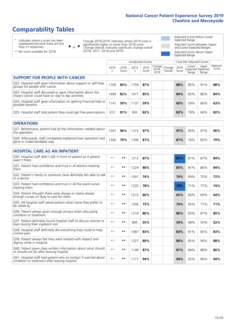### **Comparability Tables**

\* Indicates where a score has been suppressed because there are less than 21 responses.

\*\* No score available for 2018.

 $\triangle$  or  $\nabla$ 

Change 2018-2019: Indicates where 2019 score is significantly higher or lower than 2018 score Change Overall: Indicates significant change overall (2016, 2017, 2018 and 2019).

Adjusted Score below Lower Expected Range Adjusted Score between Upper and Lower Expected Ranges Adjusted Score above Upper Expected Range

|                                                                                                                   |              |               | Unadjusted Scores |               |                         |                   |               | Case Mix Adjusted Scores |                                     |                   |
|-------------------------------------------------------------------------------------------------------------------|--------------|---------------|-------------------|---------------|-------------------------|-------------------|---------------|--------------------------|-------------------------------------|-------------------|
|                                                                                                                   | 2018<br>n    | 2018<br>Score | 2019<br>n.        | 2019<br>Score | Change<br>2018-<br>2019 | Change<br>Overall | 2019<br>Score | Lower<br>Range           | Upper<br>Expected Expected<br>Range | National<br>Score |
| <b>SUPPORT FOR PEOPLE WITH CANCER</b>                                                                             |              |               |                   |               |                         |                   |               |                          |                                     |                   |
| Q22. Hospital staff gave information about support or self-help<br>groups for people with cancer                  | 1709         | 85%           | 1759              | 87%           |                         |                   | 88%           | 85%                      | 91%                                 | 88%               |
| Q23. Hospital staff discussed or gave information about the<br>impact cancer could have on day to day activities  | 1494         | 82%           | 1471              | 85%           |                         |                   | 84%           | 82%                      | 86%                                 | 84%               |
| Q24. Hospital staff gave information on getting financial help or<br>possible benefits                            | 1141         | 59%           | 1137              | 59%           |                         |                   | 60%           | 59%                      | 66%                                 | 63%               |
| Q25. Hospital staff told patient they could get free prescriptions                                                | 912          | 81%           | 902               | 82%           |                         |                   | 83%           | 79%                      | 84%                                 | 82%               |
| <b>OPERATIONS</b>                                                                                                 |              |               |                   |               |                         |                   |               |                          |                                     |                   |
| Q27. Beforehand, patient had all the information needed about<br>the operation                                    | 1347         | 96%           | 1312              | 97%           |                         |                   | 97%           | 95%                      | 97%                                 | 96%               |
| Q28. Afterwards, staff completely explained how operation had<br>gone in understandable way                       | 1340         | 79%           | 1306              | 81%           |                         |                   | 81%           | 76%                      | 82%                                 | 79%               |
| <b>HOSPITAL CARE AS AN INPATIENT</b>                                                                              |              |               |                   |               |                         |                   |               |                          |                                     |                   |
| Q30. Hospital staff didn't talk in front of patient as if patient<br>wasn't there                                 | $**$         | **            | 1212              | 87%           |                         |                   | 87%           | 81%                      | 87%                                 | 84%               |
| Q31. Patient had confidence and trust in all doctors treating<br>them                                             | $* *$        | $***$         | 1224              | 86%           |                         |                   | 85%           | 81%                      | 86%                                 | 84%               |
| Q32. Patient's family or someone close definitely felt able to talk<br>to a doctor                                | $* *$        | **            | 1041              | 74%           |                         |                   | 74%           | 69%                      | 75%                                 | 72%               |
| Q33. Patient had confidence and trust in all the ward nurses<br>treating them                                     | $* *$        | **            | 1220              | 78%           |                         |                   | 78%           | 71%                      | 77%                                 | 74%               |
| Q34. Patient thought there were always or nearly always<br>enough nurses on duty to care for them                 | $**$         | $***$         | 1215              | 66%           |                         |                   | 65%           | 60%                      | 69%                                 | 64%               |
| Q35. All hospital staff asked patient what name they prefer to<br>be called by                                    | $**$         | $***$         | 1206              | 75%           |                         |                   | 74%           | 65%                      | 77%                                 | 71%               |
| Q36. Patient always given enough privacy when discussing<br>condition or treatment                                | $\star\star$ | $***$         | 1219              | 86%           |                         |                   | 86%           | 83%                      | 87%                                 | 85%               |
| Q37. Patient definitely found hospital staff to discuss worries or<br>fears during their inpatient visit          | $* *$        | **            | 895               | 55%           |                         |                   | 54%           | 48%                      | 55%                                 | 52%               |
| Q38. Hospital staff definitely did everything they could to help<br>control pain                                  | $* *$        | **            | 1087              | 83%           |                         |                   | 83%           | 81%                      | 85%                                 | 83%               |
| Q39. Patient always felt they were treated with respect and<br>dignity while in hospital                          | $***$        | **            | 1227              | 89%           |                         |                   | 89%           | 85%                      | 90%                                 | 88%               |
| Q40. Patient given clear written information about what should<br>or should not do after leaving hospital         | $**$         | $***$         | 1149              | 87%           |                         |                   | 87%           | 84%                      | 88%                                 | 86%               |
| Q41. Hospital staff told patient who to contact if worried about<br>condition or treatment after leaving hospital | $**$         | **            | 1171              | 94%           |                         |                   | 94%           | 92%                      | 96%                                 | 94%               |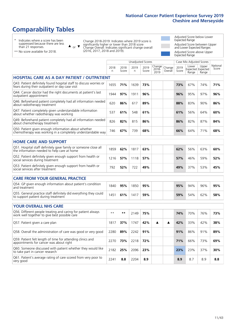### **Comparability Tables**

\* Indicates where a score has been suppressed because there are less than 21 responses.

 $\triangle$  or  $\nabla$ 

Change 2018-2019: Indicates where 2019 score is significantly higher or lower than 2018 score Change Overall: Indicates significant change overall (2016, 2017, 2018 and 2019).

Adjusted Score below Lower Expected Range Adjusted Score between Upper and Lower Expected Ranges Adjusted Score above Upper Expected Range

\*\* No score available for 2018.

|                                                                                                                       |           |               | <b>Unadjusted Scores</b> |               |                         |                   |               | Case Mix Adjusted Scores |                                     |                   |
|-----------------------------------------------------------------------------------------------------------------------|-----------|---------------|--------------------------|---------------|-------------------------|-------------------|---------------|--------------------------|-------------------------------------|-------------------|
|                                                                                                                       | 2018<br>n | 2018<br>Score | 2019<br>n.               | 2019<br>Score | Change<br>2018-<br>2019 | Change<br>Overall | 2019<br>Score | Lower<br>Range           | Upper<br>Expected Expected<br>Range | National<br>Score |
| <b>HOSPITAL CARE AS A DAY PATIENT / OUTPATIENT</b>                                                                    |           |               |                          |               |                         |                   |               |                          |                                     |                   |
| Q43. Patient definitely found hospital staff to discuss worries or<br>fears during their outpatient or day case visit | 1655      | 71%           | 1639                     | 73%           |                         |                   | 73%           | 67%                      | 74%                                 | 71%               |
| Q44. Cancer doctor had the right documents at patient's last<br>outpatient appointment                                | 1944      | 97%           | 1911                     | 96%           |                         |                   | 96%           | 95%                      | 97%                                 | 96%               |
| Q46. Beforehand patient completely had all information needed<br>about radiotherapy treatment                         | 620       | 86%           | 617                      | 89%           |                         |                   | 88%           | 83%                      | 90%                                 | 86%               |
| Q47. Patient completely given understandable information<br>about whether radiotherapy was working                    | 537       | 61%           | 548                      | 61%           |                         |                   | 61%           | 56%                      | 64%                                 | 60%               |
| Q49. Beforehand patient completely had all information needed<br>about chemotherapy treatment                         | 826       | 82%           | 815                      | 86%           |                         |                   | 86%           | 82%                      | 87%                                 | 84%               |
| Q50. Patient given enough information about whether<br>chemotherapy was working in a completely understandable way    | 746       | 67%           | 739                      | 68%           |                         |                   | 66%           | 64%                      | 71%                                 | 68%               |
| <b>HOME CARE AND SUPPORT</b>                                                                                          |           |               |                          |               |                         |                   |               |                          |                                     |                   |
| Q51. Hospital staff definitely gave family or someone close all<br>the information needed to help care at home        | 1859      | 62%           | 1817                     | 63%           |                         |                   | 62%           | 56%                      | 63%                                 | 60%               |
| Q52. Patient definitely given enough support from health or<br>social services during treatment                       | 1216      | 57%           | 1118                     | 57%           |                         |                   | 57%           | 46%                      | 59%                                 | 52%               |
| Q53. Patient definitely given enough support from health or<br>social services after treatment                        | 792       | 52%           | 722                      | 49%           |                         |                   | 49%           | 37%                      | 53%                                 | 45%               |
| <b>CARE FROM YOUR GENERAL PRACTICE</b>                                                                                |           |               |                          |               |                         |                   |               |                          |                                     |                   |
| Q54. GP given enough information about patient's condition<br>and treatment                                           | 1840      | 95%           | 1850                     | 95%           |                         |                   | 95%           | 94%                      | 96%                                 | 95%               |
| Q55. General practice staff definitely did everything they could<br>to support patient during treatment               | 1451      | 61%           | 1417                     | 59%           |                         |                   | 59%           | 54%                      | 62%                                 | 58%               |
| <b>YOUR OVERALL NHS CARE</b>                                                                                          |           |               |                          |               |                         |                   |               |                          |                                     |                   |
| Q56. Different people treating and caring for patient always<br>work well together to give best possible care         | $* *$     | $***$         | 2149                     | 75%           |                         |                   | 74%           | 70%                      | 76%                                 | 73%               |
| Q57. Patient given a care plan                                                                                        | 1817      | 37%           | 1747                     | 42%           | ▲                       | ▲                 | 42%           | 33%                      | 42%                                 | 38%               |
| Q58. Overall the administration of care was good or very good                                                         | 2280      | 89%           | 2242                     | 91%           |                         |                   | 91%           | 86%                      | 91%                                 | 89%               |
| Q59. Patient felt length of time for attending clinics and<br>appointments for cancer was about right                 | 2270      | 73%           | 2218                     | 72%           |                         |                   | 71%           | 66%                      | 73%                                 | 69%               |
| Q60. Someone discussed with patient whether they would like<br>to take part in cancer research                        | 2182      | 25%           | 2096                     | 23%           |                         |                   | 23%           | 23%                      | 37%                                 | 30%               |
| Q61. Patient's average rating of care scored from very poor to<br>very good                                           | 2241      | 8.8           | 2204                     | 8.9           |                         |                   | 8.9           | 8.7                      | 8.9                                 | 8.8               |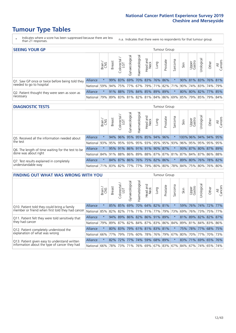### **Tumour Type Tables**

- \* Indicates where a score has been suppressed because there are less than 21 responses.
- n.a. Indicates that there were no respondents for that tumour group.

| <b>SEEING YOUR GP</b>                           |                 |              |               |                  |                    |                |                             |      | Tumour Group |         |      |                 |                                                     |       |                |
|-------------------------------------------------|-----------------|--------------|---------------|------------------|--------------------|----------------|-----------------------------|------|--------------|---------|------|-----------------|-----------------------------------------------------|-------|----------------|
|                                                 |                 | Brain<br>CNS | <b>Breast</b> | olorectal<br>LGT | ᠊ᢛ<br>Gynaecologic | Haematological | Head and<br>Neck            | Lung | Prostate     | Sarcoma | Skin | Upper<br>Gastro | $\sigma$<br>Jrologica                               | Other | All<br>Cancers |
| Q1. Saw GP once or twice before being told they | <b>Alliance</b> |              |               |                  |                    |                | 99% 83% 69% 70% 83% 76% 86% |      |              |         |      |                 | 90% 81% 83% 76% 81%                                 |       |                |
| needed to go to hospital                        | National        | 59%          |               |                  |                    |                |                             |      |              |         |      |                 | 94% 75% 77% 67% 79% 71% 82% 71% 90% 74% 83% 74% 79% |       |                |
| Q2. Patient thought they were seen as soon as   | <b>Alliance</b> |              | 91%           |                  |                    |                | 88% 73% 84% 85% 89% 89%     |      |              |         |      |                 | 80% 80% 82% 77% 85%                                 |       |                |
| necessary                                       | National        | 79%          |               |                  |                    |                |                             |      |              |         |      |                 | 89% 83% 81% 82% 81% 84% 86% 69% 85% 79% 85% 79% 84% |       |                |

#### **DIAGNOSTIC TESTS** Tumour Group

|                                                   |                                                                  | Brain   | <b>Breast</b> | Colorectal<br>LGT | त्त<br>Gynaecologic | Haematological      | Head and<br>Neck | Lung | Prostate                | Sarcoma | Skin | Upper<br>Gastro | Jrological           | Other | All<br>Cancers |
|---------------------------------------------------|------------------------------------------------------------------|---------|---------------|-------------------|---------------------|---------------------|------------------|------|-------------------------|---------|------|-----------------|----------------------|-------|----------------|
| Q5. Received all the information needed about     | Alliance                                                         | $\star$ | 94%           | $ 96\% $          | 95%                 | 95% 85% 94%         |                  |      | 96%                     |         |      |                 | 100% 96% 94% 94% 95% |       |                |
| the test                                          | National                                                         | 93%     | 95%           | 95%               |                     |                     |                  |      | 93% 95% 93% 95% 95% 93% |         | 96%  |                 | 95% 95% 95% 95%      |       |                |
| Q6. The length of time waiting for the test to be | Alliance                                                         |         |               | 95% 91%           |                     | 86% 91% 91% 90% 87% |                  |      |                         |         |      |                 | 93% 87% 80% 87% 89%  |       |                |
| done was about right                              | National 84% 91% 88% 86% 89% 88% 87% 87% 81% 87% 84% 87% 86% 88% |         |               |                   |                     |                     |                  |      |                         |         |      |                 |                      |       |                |
| Q7. Test results explained in completely          | Alliance                                                         |         |               | 84% 87%           |                     | 86% 76% 75% 82% 86% |                  |      |                         | $\star$ |      |                 | 89% 80% 76% 78% 82%  |       |                |
| understandable way                                | National 71% 83% 82% 77% 77% 79% 80% 80% 78% 84% 75% 80% 76% 80% |         |               |                   |                     |                     |                  |      |                         |         |      |                 |                      |       |                |

| <b>FINDING OUT WHAT WAS WRONG WITH YOU</b>        |                 |         |               |            |                | <b>Tumour Group</b>             |                  |      |                 |         |      |                 |                     |       |                |
|---------------------------------------------------|-----------------|---------|---------------|------------|----------------|---------------------------------|------------------|------|-----------------|---------|------|-----------------|---------------------|-------|----------------|
|                                                   |                 | Brain   | <b>Breast</b> | Colorectal | Gynaecological | Haematological                  | Head and<br>Neck | Lung | Prostate        | Sarcoma | Skin | Upper<br>Gastro | Urological          | Other | All<br>Cancers |
| Q10. Patient told they could bring a family       | <b>Alliance</b> | $\star$ | 85%           | 85%        | 69%            |                                 | 70% 64% 82% 81%  |      |                 | $\star$ | 59%  | 76%             | 74% 72%             |       | 77%            |
| member or friend when first told they had cancer  | National        | 85%     | 82%           | 82%        |                | 71% 71% 71%                     |                  |      | 77% 79%         | 73%     | 69%  |                 | 76% 73%             |       | 75% 77%        |
| Q11. Patient felt they were told sensitively that | Alliance        | $\star$ | $94\%$        |            |                | 89% 86% 82% 86% 91% 89%         |                  |      |                 |         |      |                 | 81% 89% 82% 82% 87% |       |                |
| they had cancer                                   | National        | 79%     |               |            |                | 89% 87% 82% 84% 87% 83% 86% 84% |                  |      |                 |         |      |                 | 89% 81% 84% 83% 86% |       |                |
| Q12. Patient completely understood the            | Alliance        | $\star$ | $80\%$        | 83%        |                | 79% 61% 81% 83% 81%             |                  |      |                 | $\star$ | 75%  |                 | 78% 77% 68% 75%     |       |                |
| explanation of what was wrong                     | National        | 66%     | 77%           | 79%        | 73%            |                                 |                  |      | 60% 78% 76% 79% | 67%     | 80%  |                 | 70% 77%             |       | 70% 73%        |
| Q13. Patient given easy to understand written     | Alliance        | $\star$ | 82%           | 72%        | 77%            | 74% 59% 68% 89%                 |                  |      |                 | $\star$ |      | 83% 71%         | 69% 65%             |       | 76%            |
| information about the type of cancer they had     | National        | 66%     | 78%           | 73%        |                | 71% 76% 69% 67% 83% 67%         |                  |      |                 |         |      |                 | 84%   67%   74%     | 65%   | 74%            |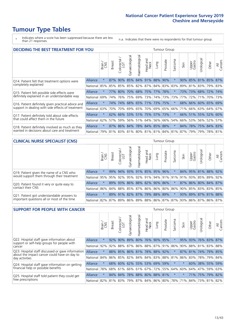### **Tumour Type Tables**

\* Indicates where a score has been suppressed because there are less than 21 responses.

n.a. Indicates that there were no respondents for that tumour group.

| <b>DECIDING THE BEST TREATMENT FOR YOU</b>         |                 |         |               |            |                         |                |                         |         | <b>Tumour Group</b> |              |      |                 |            |                     |                |
|----------------------------------------------------|-----------------|---------|---------------|------------|-------------------------|----------------|-------------------------|---------|---------------------|--------------|------|-----------------|------------|---------------------|----------------|
|                                                    |                 | Brain   | <b>Breast</b> | Colorectal | Gynaecological          | Haematological | ead and<br>Neck<br>Head | Lung    | Prostate            | arcoma<br>ιñ | Skin | Upper<br>Gastro | Jrological | Other               | All<br>Cancers |
| Q14. Patient felt that treatment options were      | Alliance        | $\star$ | 87%           | 90%        | 85%                     | 84%            | 91%                     | 88%     | 90%                 | 大            | 90%  | 85%             |            | 81% 85%             | 87%            |
| completely explained                               | National        | 85%     | 85%           | 85%        |                         | 85% 82%        | 87%                     |         | 84% 83%             | 83%          | 89%  | 81%             | 83%        | 79% 83%             |                |
| Q15. Patient felt possible side effects were       | Alliance        | $\star$ | 77%           | 80%        | 70%                     | 68% 75%        |                         |         | 77% 78%             |              | 73%  | 73%             |            | 68% 72% 74%         |                |
| definitely explained in an understandable way      | National        | 69%     | 74%           | 76%        | 75%                     | 69%            | 73%                     |         | 74% 73%             | 73%          | 77%  | 72%             | 71%        | 70%                 | 73%            |
| Q16. Patient definitely given practical advice and | Alliance        | $\star$ | 74%           | $ 74\% $   |                         |                | 68% 65% 71% 73% 75%     |         |                     | $\ast$       |      |                 |            | 68% 66% 60% 65% 69% |                |
| support in dealing with side effects of treatment  | National        | 63%     | 70%           | 70%        |                         | 69% 65%        | 70%                     | 69% 65% |                     | 66%          | 71%  | 66%             |            | 63% 64%             | 67%            |
| Q17. Patient definitely told about side effects    | <b>Alliance</b> | $\star$ |               | 62% 66%    |                         |                | 53% 51% 75%             |         | 57% 73%             | $\ast$       | 66%  | 51%             |            | 55% 52%             | 60%            |
| that could affect them in the future               | National        | 62%     | 57%           | 59%        |                         | 56% 51%        | 64%                     | 56%     | 66%                 | 54%          | 66%  | 53%             | 56%        | 52%                 | 57%            |
| Q18. Patient definitely involved as much as they   | <b>Alliance</b> | $\star$ | 87%           | 86%        |                         |                | 84% 78% 84% 85% 88%     |         |                     | $\star$      | 84%  | 78%             | 75%        | 84% 83%             |                |
| wanted in decisions about care and treatment       | National        | 79%     | 81%           | 83%        | 81% 80% 81% 81% 84% 81% |                |                         |         |                     |              | 87%  | 79%             | 79%        | 78%                 | 81%            |

#### **CLINICAL NURSE SPECIALIST (CNS)** Tumour Group

|                                             |          | Brain   | Breast      | olorectal<br>LGT | Gynaecologic | $\overline{\sigma}$<br>Haematologic | Head and<br>Neck                | Lung | Prostate | Sarcoma | Skin | Upper<br>Gastro | ᅲ<br>Jrologica                                                  | Other | All<br>Cancers |
|---------------------------------------------|----------|---------|-------------|------------------|--------------|-------------------------------------|---------------------------------|------|----------|---------|------|-----------------|-----------------------------------------------------------------|-------|----------------|
| Q19. Patient given the name of a CNS who    | Alliance | $\star$ |             | 99% 94%          | 93%          |                                     | 91% 85% 95% 96%                 |      |          |         |      |                 | 84% 95% 81% 88% 92%                                             |       |                |
| would support them through their treatment  | National | 95%     |             |                  |              |                                     |                                 |      |          |         |      |                 | 95% 92% 95% 92% 91% 94% 91% 91% 91% 93% 85% 89% 92%             |       |                |
| Q20. Patient found it very or quite easy to | Alliance |         |             |                  |              |                                     | 89% 93% 86% 88% 82% 90% 86%     |      |          | $\star$ |      |                 | 87% 86% 80% 84% 87%                                             |       |                |
| contact their CNS                           | National | 86%     |             |                  |              |                                     | 84% 88% 85% 87% 86% 86% 80% 86% |      |          |         | 90%  |                 | 85% 83% 83% 85%                                                 |       |                |
| Q21. Patient got understandable answers to  | Alliance |         |             | 89% 91%          |              |                                     | 82% 87% 79% 88% 89%             |      |          | $\star$ |      |                 | 93% 89% 87% 81% 88%                                             |       |                |
| important questions all or most of the time | National |         | 82% 87% 89% |                  |              |                                     |                                 |      |          |         |      |                 | 86%   89%   88%   86%   87%   87%   93%   86%   87%   86%   87% |       |                |

| <b>SUPPORT FOR PEOPLE WITH CANCER</b>                                                             |              |         |               |                             |                |                         |                        |             | <b>Tumour Group</b> |          |             |                 |            |                 |                |
|---------------------------------------------------------------------------------------------------|--------------|---------|---------------|-----------------------------|----------------|-------------------------|------------------------|-------------|---------------------|----------|-------------|-----------------|------------|-----------------|----------------|
|                                                                                                   |              | Brain   | <b>Breast</b> | ╮<br>olorectal.<br>LGT<br>Ũ | Gynaecological | Haematological          | ad and<br>Neck<br>Head | <b>Dung</b> | Prostate            | Sarcoma  | Skin        | Upper<br>Gastro | Jrological | Other           | All<br>Cancers |
| Q22. Hospital staff gave information about<br>support or self-help groups for people with         | Alliance     | $\star$ | 92%           | 90%                         | 89%            |                         | 80% 76%                | $90\%$      | 95%                 |          | 95%         | 93%             |            | 76% 83% 87%     |                |
| cancer                                                                                            | National     | 92%     | 92%           | 88%                         | 87%            |                         | 86% 88% 87% 91%        |             |                     | 86%      | 90%         | 88%             | 81%        | 83%             | 88%            |
| Q23. Hospital staff discussed or gave information<br>about the impact cancer could have on day to | Alliance     | $\star$ |               | 88% 85%                     |                | 86% 81% 78% 88% 92%     |                        |             |                     | $\star$  | 87%         | 81%             |            | 74% 79% 85%     |                |
| day activities                                                                                    | National     | 84%     |               |                             | 86% 85% 82%    | 84% 84% 83% 88%         |                        |             |                     | 81%      | 86%         | 83%             |            | 78% 79%         | 84%            |
| Q24. Hospital staff gave information on getting                                                   | Alliance     | $\star$ | 68%           |                             |                | 60% 62% 55% 53% 69% 59% |                        |             |                     | $^\star$ | $\star$     |                 |            | 60% 38% 55%     | 59%            |
| financial help or possible benefits                                                               | National 78% |         |               | 68% 61%                     |                | 66% 61% 67% 72% 55%     |                        |             |                     | 64% 60%  |             | 64%             | 47%        | 59%             | 63%            |
| Q25. Hospital staff told patient they could get                                                   | Alliance     | $\star$ |               | 84% 84%                     | 78%            | 88% 80% 88% 81%         |                        |             |                     | $\star$  | $\star$     |                 |            | 71% 75% 79% 82% |                |
| free prescriptions                                                                                | National 82% |         |               | 81% 83%                     |                | 79% 87% 84% 86% 80%     |                        |             |                     |          | 78% 71% 84% |                 |            | 73% 81% 82%     |                |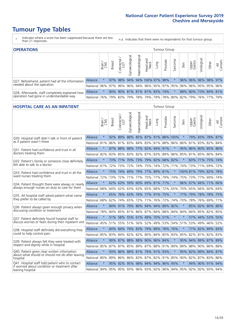Urological

Other

₹ Cancers

### **Tumour Type Tables**

- \* Indicates where a score has been suppressed because there are less than 21 responses.
- n.a. Indicates that there were no respondents for that tumour group.

| <b>OPERATIONS</b>                                |                 |               |               |            |                |                |                                                     |      | Tumour Group |         |      |                 |                     |       |                |
|--------------------------------------------------|-----------------|---------------|---------------|------------|----------------|----------------|-----------------------------------------------------|------|--------------|---------|------|-----------------|---------------------|-------|----------------|
|                                                  |                 | Brain.<br>CNS | <b>Breast</b> | Colorectal | Gynaecological | Haematological | Head and<br>Neck                                    | Lung | Prostate     | Sarcoma | Skin | Upper<br>Gastro | σ<br>Jrologica      | Other | All<br>Cancers |
| Q27. Beforehand, patient had all the information | <b>Alliance</b> |               |               | 97% 98%    |                |                | 94% 94% 100% 97% 98%                                |      |              |         |      |                 | 96% 96% 96% 98% 97% |       |                |
| needed about the operation                       | National 96%    |               |               |            |                |                | 97%   96%   96%   94%   96%   95%   97%   95%   96% |      |              |         |      |                 | 96% 95% 95% 96%     |       |                |
| Q28. Afterwards, staff completely explained how  | <b>Alliance</b> |               |               |            |                |                | 80% 90% 81% 81% 81% 83% 74%                         |      |              |         |      |                 | 88% 80% 73% 84% 81% |       |                |
| operation had gone in understandable way         | National 76%    |               |               |            |                |                | 79% 83% 79% 78% 79% 79% 78% 80% 82% 79% 76% 77% 79% |      |              |         |      |                 |                     |       |                |

#### **HOSPITAL CARE AS AN INPATIENT THE CARE AS AN INPATIENT Tumour Group** Haematological Gynaecological Gynaecological Haematological Colorectal / Head and Prostate Sarcoma Breast Lung Upper Gastro Brain / CNS Neck Skin  $\overline{5}$ Alliance \* 92% 89% 88% 85% 87% 91% 88% 100% \* 79% 83% 78% 87% Q30. Hospital staff didn't talk in front of patient National 81% 86% 81% 83% 84% 83% 81% 88% 86% 86% 81% 83% 82% 84% Q31. Patient had confidence and trust in all Alliance \* 87% 88% 88% 77% 92% 94% 91% \* 95% 86% 80% 85% 86% doctors treating them National 82% 83% 83% 83% 82% 87% 83% 89% 86% 85% 81% 85% 80% 84% Q32. Patient's family or someone close definitely Alliance \* 73% 71% 70% 73% 79% 82% 68% 82% \* 83% 71% 75% 74% felt able to talk to a doctor National 67% 72% 73% 72% 74% 75% 74% 72% 71% 74% 73% 71% 69% 72% Q33. Patient had confidence and trust in all the Alliance \* 75% 74% 69% 79% 77% 89% 81% \* 100% 81% 79% 82% 78% ward nurses treating them National 72% 73% 72% 71% 77% 75% 77% 79% 74% 75% 73% 77% 69% 74% Alliance \* 62% 63% 59% 60% 69% 81% 71% \* 86% 67% 66% 71% 66% Q34. Patient thought there were always or nearly always enough nurses on duty to care for them National 68% 64% 62% 63% 63% 65% 68% 72% 65% 70% 65% 66% 60% 64% Alliance \* 65% 76% 63% 76% 77% 91% 75% \* 77% 79% 78% 78% 75% Q35. All hospital staff asked patient what name they prefer to be called by National 68% 62% 74% 65% 72% 71% 76% 72% 74% 70% 78% 76% 69% 71% Q36. Patient always given enough privacy when Alliance \* 84% 91% 79% 86% 94% 94% 89% 82% \* 85% 82% 80% 86% discussing condition or treatment National 78% 84% 84% 87% 87% 87% 84% 87% 84% 84% 84% 84% 85% 82% 85% Alliance \* 51% 58% 55% 61% 49% 70% 51% \* \* 57% 44% 53% 55% Q37. Patient definitely found hospital staff to discuss worries or fears during their inpatient visit National 45% 51% 55% 51% 56% 52% 49% 53% 54% 51% 53% 49% 46% 52% Alliance \* 84% 84% 79% 83% 79% 89% 78% 76% \* 77% 82% 89% 83% Q38. Hospital staff definitely did everything they could to help control pain National 85% 83% 84% 82% 82% 80% 84% 85% 83% 85% 82% 81% 82% 83% Alliance \* 90% 87% 88% 88% 90% 96% 84% \* 95% 94% 89% 87% 89% Q39. Patient always felt they were treated with respect and dignity while in hospital National 85% 87% 87% 85% 89% 87% 88% 91% 89% 89% 88% 90% 86% 88%

Q40. Patient given clear written information Alliance \* 93% 86% 88% 81% 79% 91% 93% \* 95% 82% 89% 84% 87% about what should or should not do after leaving hospital National 80% 89% 86% 86% 83% 87% 82% 91% 85% 90% 82% 87% 83% 86% Q41. Hospital staff told patient who to contact Alliance \* 95% 92% 95% 98% 94% 94% 96% 95% \* 94% 90% 91% 94% if worried about condition or treatment after leaving hospital National 94% 95% 95% 93% 96% 93% 92% 96% 94% 95% 92% 92% 93% 94%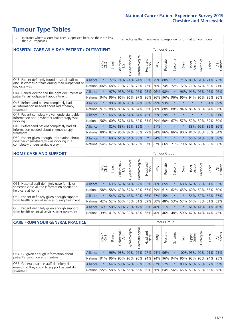## **Tumour Type Tables**

- \* Indicates where a score has been suppressed because there are less than 21 responses.
- n.a. Indicates that there were no respondents for that tumour group.

| <b>HOSPITAL CARE AS A DAY PATIENT / OUTPATIENT</b>                                                     |                 |         |        |                     |                |                |                            | <b>Tumour Group</b> |          |                  |         |                 |            |         |                |
|--------------------------------------------------------------------------------------------------------|-----------------|---------|--------|---------------------|----------------|----------------|----------------------------|---------------------|----------|------------------|---------|-----------------|------------|---------|----------------|
|                                                                                                        |                 | Brain   | Breast | Colorectal /<br>LGT | Gynaecological | Haematological | and<br><b>Neck</b><br>Head | Lung                | Prostate | arcoma<br>$\sim$ | Skin    | Upper<br>Gastro | Jrological | Other   | All<br>Cancers |
| Q43. Patient definitely found hospital staff to<br>discuss worries or fears during their outpatient or | Alliance        | $\star$ | 72%    | 74%                 | 74%            | 74%            | 65%                        | 75%                 | 80%      | $\star$          | 71%     | 80%             | 61%        | 71%     | 73%            |
| day case visit                                                                                         | National        | 66%     | 68%    | 73%                 | 70%            | 73%            | 72%                        | 70%                 | 74%      | 72%              | 72%     | 71%             | 67%        | 68%     | 71%            |
| Q44. Cancer doctor had the right documents at                                                          | Alliance        | $\star$ | 97%    | 95%                 | 96%            | $96\%$         | 98%                        | 96%                 | 98%      | $\star$          | 96%     | 91%             | 96%        | 95%     | 96%            |
| patient's last outpatient appointment                                                                  | National        | 94%     | 96%    | 96%                 | 96%            | 97%            | 96%                        | 96%                 | 96%      | 96%              | 96%     | 94%             | 96%        | 95%     | 96%            |
| Q46. Beforehand patient completely had<br>all information needed about radiotherapy                    | <b>Alliance</b> | $\star$ | 90%    | 84%                 |                |                |                            | 86% 89% 88% 89% 93% |          | $\star$          |         |                 | $\star$    |         | 81% 89%        |
| treatment                                                                                              | National        | 91%     | 88%    | 83%                 | 88%            | 84%            |                            | 86% 86% 88%         |          | 88%              | 84%     | 86%             | 83%        | 84%     | 86%            |
| Q47. Patient completely given understandable<br>information about whether radiotherapy was             | Alliance        | $\star$ | 66%    | 64%                 | 54%            |                | 64% 45%                    | 55%                 | 59%      | $\star$          | $\star$ | $\star$         | $\star$    |         | 63% 61%        |
| working                                                                                                | National        | 56%     | 60%    | 57%                 | 61%            | 62%            | 63%                        |                     | 59% 60%  | 67%              | 57%     | 52%             | 59%        | 59%     | 60%            |
| Q49. Beforehand patient completely had all<br>information needed about chemotherapy                    | Alliance        | $\star$ | 82%    | 88%                 | 89%            | 86%            | $\star$                    | 91%                 | $\star$  | $\star$          | $\star$ | 88%             | 92%        | 85% 86% |                |
| treatment                                                                                              | National        | 80%     | 82%    | 86%                 | 87%            | 85%            | 79%                        | 84%                 | 86%      | 86%              | 90%     | 84%             | 85%        | 85%     | 84%            |
| Q50. Patient given enough information about<br>whether chemotherapy was working in a                   | Alliance        | $\star$ | 60%    | 61%                 | 54%            | 78%            | $\star$                    | 64%                 | $\star$  | $\star$          | $\star$ |                 | 56% 61%    | 63%     | 68%            |
| completely understandable way                                                                          | National        | 54%     | 62%    | 64%                 | 68%            | 75%            | 57%                        | 67%                 | 66%      | 71%              | 79%     | 61%             | 68%        | 69%     | 68%            |
|                                                                                                        |                 |         |        |                     |                |                |                            |                     |          |                  |         |                 |            |         |                |
| <b>HOME CARE AND SUPPORT</b><br><b>Tumour Group</b>                                                    |                 |         |        |                     |                |                |                            |                     |          |                  |         |                 |            |         |                |

| <b>HUME CAKE AND SUPPORT</b>                                                                 |                                          |              |               |                             |                |                |                             | iumour Group |          |                                               |         |                 |                 |             |                |
|----------------------------------------------------------------------------------------------|------------------------------------------|--------------|---------------|-----------------------------|----------------|----------------|-----------------------------|--------------|----------|-----------------------------------------------|---------|-----------------|-----------------|-------------|----------------|
|                                                                                              |                                          | Brain<br>CNS | <b>Breast</b> | olorectal.<br>LGT<br>$\cup$ | Gynaecological | Haematological | ad and<br>Neck<br>Head      | Lung         | Prostate | Sarcoma                                       | Skin    | Upper<br>Gastro | rological       | Other       | All<br>Cancers |
| Q51. Hospital staff definitely gave family or<br>someone close all the information needed to | Alliance                                 | $\star$      | 63%           | 67%                         | 54%            |                | 62% 63% 66% 65%             |              |          |                                               | 68%     | 67%             |                 | 56% 61% 63% |                |
| help care at home                                                                            | National                                 | 58%          |               |                             |                |                |                             |              |          | 58% 63% 57% 62% 67% 59% 61% 62% 65%           |         |                 | 60% 59% 55%     |             | 60%            |
| Q52. Patient definitely given enough support                                                 | Alliance                                 | $\star$      |               |                             |                |                | 54% 67% 45% 50% 66% 57% 55% |              |          | $\star$                                       |         |                 | 56% 50% 63% 57% |             |                |
| from health or social services during treatment                                              | National                                 | 42%          | 52%           |                             |                |                |                             |              |          | 60%   45%   51%   59%   50%   48%   53%   57% |         |                 | 54% 48% 51%     |             | 52%            |
| Q53. Patient definitely given enough support                                                 | Alliance                                 | n.a.         | 50%           |                             |                |                | 60% 26% 42% 56% 40% 51%     |              |          | $\star$                                       | $\star$ |                 | 61% 41% 51%     |             | 149%           |
| from health or social services after treatment                                               | National 39% 41% 53% 39% 43% 56% 40% 46% |              |               |                             |                |                |                             |              |          |                                               | 48% 59% |                 | 47%   44%   44% |             | 45%            |

| <b>CARE FROM YOUR GENERAL PRACTICE</b>                                                                    |            |        |               |                   |                                     | <b>Tumour Group</b> |                     |      |                     |         |                                             |                 |                      |       |                |
|-----------------------------------------------------------------------------------------------------------|------------|--------|---------------|-------------------|-------------------------------------|---------------------|---------------------|------|---------------------|---------|---------------------------------------------|-----------------|----------------------|-------|----------------|
|                                                                                                           |            | Brain, | <b>Breast</b> | Colorectal<br>LGT | $\overline{\sigma}$<br>Gynaecologic | Haematological      | Head and<br>Neck    | Lung | Prostate            | Sarcoma | Skin                                        | Upper<br>Gastro | Irologica            | Other | All<br>Cancers |
| Q54. GP given enough information about                                                                    | Alliance   |        |               | 96% 93%           |                                     |                     | 97% 96% 97% 94% 96% |      |                     | $\star$ |                                             |                 | 100% 95% 97% 91% 95% |       |                |
| patient's condition and treatment                                                                         | National I | 91%    |               |                   | 96% 95% 95% 96% 94% 94% 96% 94%     |                     |                     |      |                     |         | 96% 93% 95% 94% 95%                         |                 |                      |       |                |
| Q55. General practice staff definitely did<br>Alliance<br>everything they could to support patient during |            |        |               | 64% 59%           |                                     |                     |                     |      | 57% 55% 53% 62% 57% | $\star$ |                                             |                 | 83% 63% 60% 57% 59%  |       |                |
| treatment                                                                                                 | National   | 55%    |               | 58% 59%           |                                     |                     |                     |      |                     |         | 56% 56% 59% 56% 64% 56% 65% 59% 59% 55% 58% |                 |                      |       |                |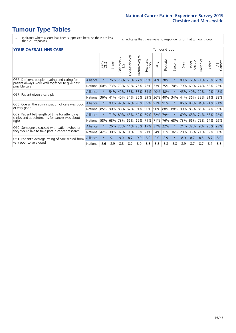### **Tumour Type Tables**

- \* Indicates where a score has been suppressed because there are less than 21 responses.
- n.a. Indicates that there were no respondents for that tumour group.

#### **YOUR OVERALL NHS CARE** THE TWO CONTROLLER THE THE THROUP CHANGE THE TUMOUR GROUP

|          | Brain   | <b>Breast</b> | Colorectal | Gynaecological | Haematological     | aad and<br>Neck<br>Head | Lung                                            | Prostate | Sarcoma                                                                             | Skin    | Upper<br>Gastro | Urological | Other              | All<br>Cancers                                      |
|----------|---------|---------------|------------|----------------|--------------------|-------------------------|-------------------------------------------------|----------|-------------------------------------------------------------------------------------|---------|-----------------|------------|--------------------|-----------------------------------------------------|
| Alliance | $\star$ | 76%           | 76%        | 63%            | 77%                | 69%                     | 78%                                             |          | $\star$                                                                             | 83%     | 72%             | 71%        | 70%                | 75%                                                 |
| National | 60%     |               |            | 69%            | 75%                | 73%                     |                                                 |          | 70%                                                                                 | 79%     | 69%             | 74%        |                    | 73%                                                 |
| Alliance | $\star$ | 54%           |            |                |                    |                         |                                                 |          | $\ast$                                                                              | 45%     |                 |            |                    |                                                     |
| National | 36%     | 41%           | 40%        | 34%            | 36%                | 39%                     | 36%                                             |          | 34%                                                                                 | 44%     | 36%             | 33%        | 31%                | 38%                                                 |
| Alliance | $\star$ | 93%           | 92%        |                |                    |                         |                                                 |          | $\star$                                                                             | 86%     |                 |            |                    | 91%                                                 |
| National |         |               |            |                |                    |                         |                                                 |          | 88%                                                                                 | 90%     |                 |            |                    |                                                     |
| Alliance | $\star$ |               |            |                |                    |                         |                                                 |          | $\star$                                                                             | 69%     | 68%             |            |                    | 72%                                                 |
| National | 58%     | 68%           | 73%        | 66%            | 66%                |                         | 71%                                             |          | 68%                                                                                 | 73%     | 66%             | 75%        | 64%                | 69%                                                 |
| Alliance | $\star$ | 26%           | 23%        | 14%            | 20%                | 17%                     | 37%                                             |          | $\star$                                                                             | 21%     | 32%             | 9%         | 26%                | 23%                                                 |
| National | 42%     | 30%           | 32%        | 31%            | 33%                |                         | 34%                                             |          | 36%                                                                                 | 20%     | 36%             | 21%        | 32%                | 30%                                                 |
| Alliance | $\star$ | 9.1           | 9.0        | 8.7            | 9.0                | 8.9                     | 9.0                                             | 8.9      | $\star$                                                                             | 8.9     | 8.7             | 8.5        | 8.7                | 8.9                                                 |
| National | 8.6     | 8.9           | 8.8        | 8.7            | 8.9                | 8.8                     | 8.8                                             | 8.8      | 8.8                                                                                 | 8.9     | 8.7             | 8.7        | 8.7                | 8.8                                                 |
|          |         |               | 85%        | 42%            | 73% 73%<br>90% 88% | 87% 93%<br>87% 91%      | 89%<br>90%<br>71% 80% 65% 69% 69%<br>71%<br>21% | 72%      | 78%<br>73% 75%<br>38% 38% 34% 40% 48%<br>40%<br>91% 91%<br>79%<br>76%<br>22%<br>31% | 90% 88% |                 |            | 40% 29%<br>88% 84% | 68%<br>40% 42%<br>91%<br>86% 85% 87% 89%<br>74% 65% |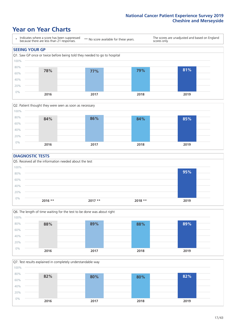### **Year on Year Charts**





#### **DIAGNOSTIC TESTS**





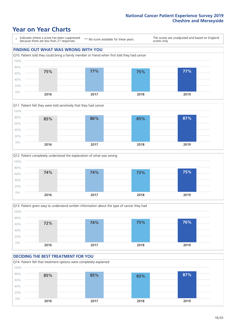### **Year on Year Charts**

\* Indicates where a score has been suppressed because there are less than 21 responses.

\*\* No score available for these years.

The scores are unadjusted and based on England scores only.









#### **DECIDING THE BEST TREATMENT FOR YOU**

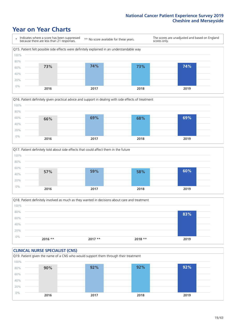### **Year on Year Charts**







Q18. Patient definitely involved as much as they wanted in decisions about care and treatment  $0%$ 20% 40% 60% 80% 100% **2016 \*\* 2017 \*\* 2018 \*\* 2019 83%**

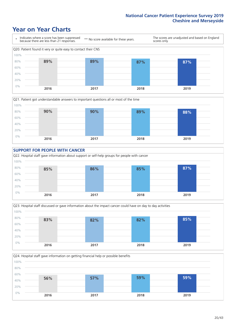### **Year on Year Charts**









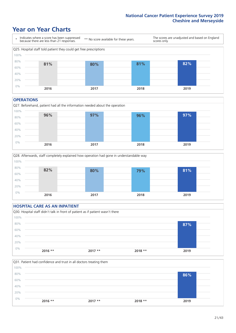### **Year on Year Charts**



#### **OPERATIONS**





#### **HOSPITAL CARE AS AN INPATIENT** Q30. Hospital staff didn't talk in front of patient as if patient wasn't there 0% 20% 40% 60% 80% 100% **2016 \*\* 2017 \*\* 2018 \*\* 2019 87%**

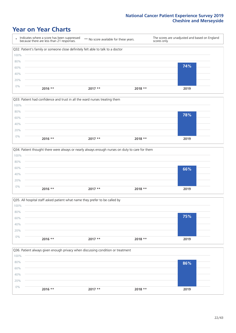### **Year on Year Charts**

|      | Indicates where a score has been suppressed<br>because there are less than 21 responses. | ** No score available for these years. | scores only. | The scores are unadjusted and based on England |
|------|------------------------------------------------------------------------------------------|----------------------------------------|--------------|------------------------------------------------|
|      | Q32. Patient's family or someone close definitely felt able to talk to a doctor          |                                        |              |                                                |
| 100% |                                                                                          |                                        |              |                                                |
| 80%  |                                                                                          |                                        |              |                                                |
| 60%  |                                                                                          |                                        |              | 74%                                            |
| 40%  |                                                                                          |                                        |              |                                                |
| 20%  |                                                                                          |                                        |              |                                                |
| 0%   | $2016$ **                                                                                | $2017**$                               | $2018**$     | 2019                                           |



|       | Q34. Patient thought there were always or nearly always enough nurses on duty to care for them |           |          |      |
|-------|------------------------------------------------------------------------------------------------|-----------|----------|------|
| 100%  |                                                                                                |           |          |      |
| 80%   |                                                                                                |           |          |      |
| 60%   |                                                                                                |           |          | 66%  |
| 40%   |                                                                                                |           |          |      |
| 20%   |                                                                                                |           |          |      |
| $0\%$ | $2016$ **                                                                                      | $2017$ ** | $2018**$ | 2019 |
|       |                                                                                                |           |          |      |



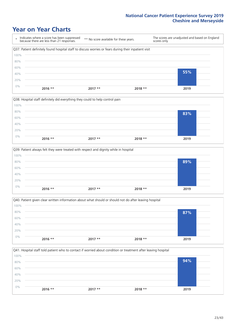### **Year on Year Charts**

\* Indicates where a score has been suppressed because there are less than 21 responses. \*\* No score available for these years. The scores are unadjusted and based on England scores only. Q37. Patient definitely found hospital staff to discuss worries or fears during their inpatient visit 0% 20% 40% 60% 80% 100% **2016 \*\* 2017 \*\* 2018 \*\* 2019 55%**



|       | Q39. Patient always felt they were treated with respect and dignity while in hospital |          |          |      |
|-------|---------------------------------------------------------------------------------------|----------|----------|------|
| 100%  |                                                                                       |          |          |      |
| 80%   |                                                                                       |          |          | 89%  |
| 60%   |                                                                                       |          |          |      |
| 40%   |                                                                                       |          |          |      |
| 20%   |                                                                                       |          |          |      |
| $0\%$ | $2016$ **                                                                             | $2017**$ | $2018**$ | 2019 |
|       |                                                                                       |          |          |      |

|       |           |          | Q40. Patient given clear written information about what should or should not do after leaving hospital |      |  |
|-------|-----------|----------|--------------------------------------------------------------------------------------------------------|------|--|
| 100%  |           |          |                                                                                                        |      |  |
| 80%   |           |          |                                                                                                        | 87%  |  |
| 60%   |           |          |                                                                                                        |      |  |
| 40%   |           |          |                                                                                                        |      |  |
| 20%   |           |          |                                                                                                        |      |  |
| $0\%$ |           |          |                                                                                                        |      |  |
|       | $2016$ ** | $2017**$ | $2018**$                                                                                               | 2019 |  |

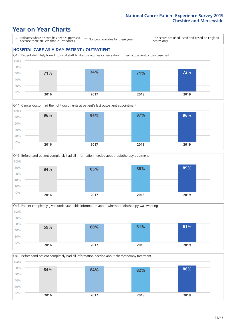### **Year on Year Charts**

\* Indicates where a score has been suppressed because there are less than 21 responses.

\*\* No score available for these years.

The scores are unadjusted and based on England scores only.

#### **HOSPITAL CARE AS A DAY PATIENT / OUTPATIENT**









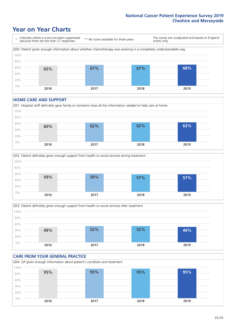### **Year on Year Charts**



#### **HOME CARE AND SUPPORT**







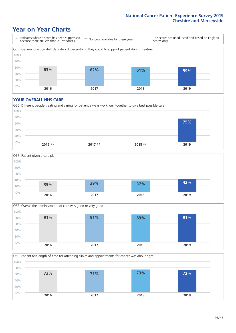### **Year on Year Charts**

\* Indicates where a score has been suppressed because there are less than 21 responses.

\*\* No score available for these years.

The scores are unadjusted and based on England scores only.



#### **YOUR OVERALL NHS CARE**







Q59. Patient felt length of time for attending clinics and appointments for cancer was about right 0% 20% 40% 60% 80% 100% **2016 2017 2018 2019 73% 71% 73% 72%**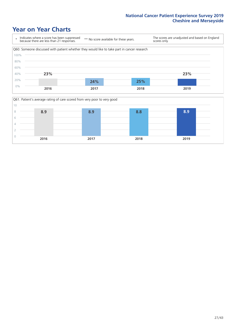### **Year on Year Charts**



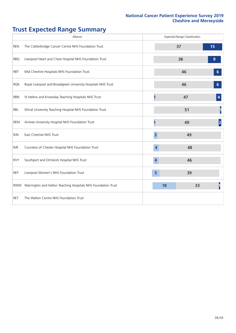## **Trust Expected Range Summary**

|            | Alliance                                                      |                         | <b>Expected Range Classification</b> |           |
|------------|---------------------------------------------------------------|-------------------------|--------------------------------------|-----------|
| <b>REN</b> | The Clatterbridge Cancer Centre NHS Foundation Trust          |                         | 37                                   | 15        |
| <b>RBQ</b> | Liverpool Heart and Chest Hospital NHS Foundation Trust       |                         | 38                                   | 9         |
| <b>RBT</b> | Mid Cheshire Hospitals NHS Foundation Trust                   |                         | 46                                   | 6         |
| RQ6        | Royal Liverpool and Broadgreen University Hospitals NHS Trust |                         | 46                                   | 6         |
| <b>RBN</b> | St Helens and Knowsley Teaching Hospitals NHS Trust           |                         | 47                                   |           |
| RBL        | Wirral University Teaching Hospital NHS Foundation Trust      |                         | 51                                   |           |
| <b>REM</b> | Aintree University Hospital NHS Foundation Trust              |                         | 49                                   | $\vert$ 2 |
| <b>RJN</b> | East Cheshire NHS Trust                                       | $\overline{\mathbf{3}}$ | 49                                   |           |
| <b>RJR</b> | Countess of Chester Hospital NHS Foundation Trust             | 4                       | 48                                   |           |
| <b>RVY</b> | Southport and Ormskirk Hospital NHS Trust                     | $\overline{4}$          | 46                                   |           |
| <b>REP</b> | Liverpool Women's NHS Foundation Trust                        | 5                       | 39                                   |           |
| <b>RWW</b> | Warrington and Halton Teaching Hospitals NHS Foundation Trust | 18                      | 33                                   |           |
| <b>RET</b> | The Walton Centre NHS Foundation Trust                        |                         |                                      |           |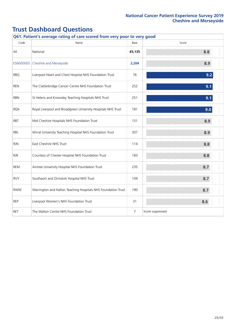| Q61. Patient's average rating of care scored from very poor to very good |                                                               |                |                  |  |  |  |  |  |  |
|--------------------------------------------------------------------------|---------------------------------------------------------------|----------------|------------------|--|--|--|--|--|--|
| Code                                                                     | Name                                                          | Base           | Score            |  |  |  |  |  |  |
| All                                                                      | National                                                      | 65,135         | 8.8              |  |  |  |  |  |  |
| E56000005                                                                | Cheshire and Merseyside                                       | 2,204          | 8.9              |  |  |  |  |  |  |
| <b>RBQ</b>                                                               | Liverpool Heart and Chest Hospital NHS Foundation Trust       | 76             | 9.2              |  |  |  |  |  |  |
| <b>REN</b>                                                               | The Clatterbridge Cancer Centre NHS Foundation Trust          | 252            | 9.1              |  |  |  |  |  |  |
| <b>RBN</b>                                                               | St Helens and Knowsley Teaching Hospitals NHS Trust           | 251            | 9.1              |  |  |  |  |  |  |
| RQ6                                                                      | Royal Liverpool and Broadgreen University Hospitals NHS Trust | 181            | 9.0              |  |  |  |  |  |  |
| <b>RBT</b>                                                               | Mid Cheshire Hospitals NHS Foundation Trust                   | 151            | 8.9              |  |  |  |  |  |  |
| RBL                                                                      | Wirral University Teaching Hospital NHS Foundation Trust      | 307            | 8.9              |  |  |  |  |  |  |
| <b>RJN</b>                                                               | East Cheshire NHS Trust                                       | 114            | 8.8              |  |  |  |  |  |  |
| <b>RJR</b>                                                               | Countess of Chester Hospital NHS Foundation Trust             | 183            | 8.8              |  |  |  |  |  |  |
| <b>REM</b>                                                               | Aintree University Hospital NHS Foundation Trust              | 235            | 8.7              |  |  |  |  |  |  |
| <b>RVY</b>                                                               | Southport and Ormskirk Hospital NHS Trust                     | 109            | 8.7              |  |  |  |  |  |  |
| <b>RWW</b>                                                               | Warrington and Halton Teaching Hospitals NHS Foundation Trust | 190            | 8.7              |  |  |  |  |  |  |
| <b>REP</b>                                                               | Liverpool Women's NHS Foundation Trust                        | 31             | 8.6              |  |  |  |  |  |  |
| <b>RET</b>                                                               | The Walton Centre NHS Foundation Trust                        | $\overline{7}$ | Score suppressed |  |  |  |  |  |  |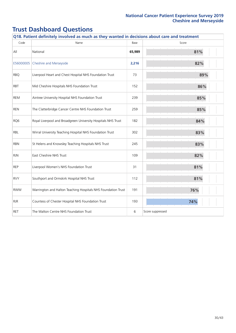| Code       | Name                                                          | Base   | Score            |
|------------|---------------------------------------------------------------|--------|------------------|
| All        | National                                                      | 65,989 | 81%              |
| E56000005  | Cheshire and Merseyside                                       | 2,216  | 82%              |
| <b>RBQ</b> | Liverpool Heart and Chest Hospital NHS Foundation Trust       | 73     | 89%              |
| <b>RBT</b> | Mid Cheshire Hospitals NHS Foundation Trust                   | 152    | 86%              |
| REM        | Aintree University Hospital NHS Foundation Trust              | 239    | 85%              |
| <b>REN</b> | The Clatterbridge Cancer Centre NHS Foundation Trust          | 259    | 85%              |
| RQ6        | Royal Liverpool and Broadgreen University Hospitals NHS Trust | 182    | 84%              |
| <b>RBL</b> | Wirral University Teaching Hospital NHS Foundation Trust      | 302    | 83%              |
| <b>RBN</b> | St Helens and Knowsley Teaching Hospitals NHS Trust           | 245    | 83%              |
| <b>RJN</b> | East Cheshire NHS Trust                                       | 109    | 82%              |
| <b>REP</b> | Liverpool Women's NHS Foundation Trust                        | 31     | 81%              |
| <b>RVY</b> | Southport and Ormskirk Hospital NHS Trust                     | 112    | 81%              |
| <b>RWW</b> | Warrington and Halton Teaching Hospitals NHS Foundation Trust | 191    | 76%              |
| <b>RJR</b> | Countess of Chester Hospital NHS Foundation Trust             | 193    | 74%              |
| <b>RET</b> | The Walton Centre NHS Foundation Trust                        | 6      | Score suppressed |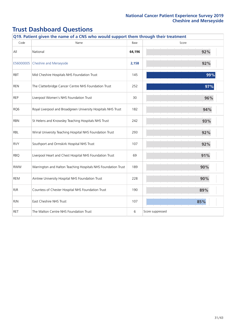|                 | Q19. Patient given the name of a CNS who would support them through their treatment |        |                  |  |  |  |  |  |  |  |
|-----------------|-------------------------------------------------------------------------------------|--------|------------------|--|--|--|--|--|--|--|
| Code            | Name                                                                                | Base   | Score            |  |  |  |  |  |  |  |
| All             | National                                                                            | 64,196 | 92%              |  |  |  |  |  |  |  |
| E56000005       | Cheshire and Merseyside                                                             | 2,158  | 92%              |  |  |  |  |  |  |  |
| <b>RBT</b>      | Mid Cheshire Hospitals NHS Foundation Trust                                         | 145    | 99%              |  |  |  |  |  |  |  |
| <b>REN</b>      | The Clatterbridge Cancer Centre NHS Foundation Trust                                | 252    | 97%              |  |  |  |  |  |  |  |
| <b>REP</b>      | Liverpool Women's NHS Foundation Trust                                              | 30     | 96%              |  |  |  |  |  |  |  |
| RQ <sub>6</sub> | Royal Liverpool and Broadgreen University Hospitals NHS Trust                       | 182    | 94%              |  |  |  |  |  |  |  |
| <b>RBN</b>      | St Helens and Knowsley Teaching Hospitals NHS Trust                                 | 242    | 93%              |  |  |  |  |  |  |  |
| RBL             | Wirral University Teaching Hospital NHS Foundation Trust                            | 293    | 92%              |  |  |  |  |  |  |  |
| <b>RVY</b>      | Southport and Ormskirk Hospital NHS Trust                                           | 107    | 92%              |  |  |  |  |  |  |  |
| <b>RBO</b>      | Liverpool Heart and Chest Hospital NHS Foundation Trust                             | 69     | 91%              |  |  |  |  |  |  |  |
| <b>RWW</b>      | Warrington and Halton Teaching Hospitals NHS Foundation Trust                       | 189    | 90%              |  |  |  |  |  |  |  |
| REM             | Aintree University Hospital NHS Foundation Trust                                    | 228    | 90%              |  |  |  |  |  |  |  |
| <b>RJR</b>      | Countess of Chester Hospital NHS Foundation Trust                                   | 190    | 89%              |  |  |  |  |  |  |  |
| <b>RJN</b>      | East Cheshire NHS Trust                                                             | 107    | 85%              |  |  |  |  |  |  |  |
| <b>RET</b>      | The Walton Centre NHS Foundation Trust                                              | 6      | Score suppressed |  |  |  |  |  |  |  |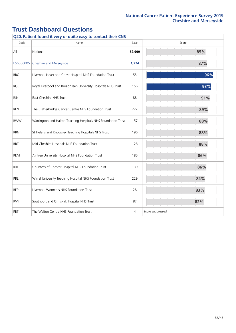| Q20. Patient found it very or quite easy to contact their CNS |                                                               |        |                  |  |
|---------------------------------------------------------------|---------------------------------------------------------------|--------|------------------|--|
| Code                                                          | Name                                                          | Base   | Score            |  |
| All                                                           | National                                                      | 52,999 | 85%              |  |
| E56000005                                                     | Cheshire and Merseyside                                       | 1,774  | 87%              |  |
| <b>RBQ</b>                                                    | Liverpool Heart and Chest Hospital NHS Foundation Trust       | 55     | 96%              |  |
| RQ6                                                           | Royal Liverpool and Broadgreen University Hospitals NHS Trust | 156    | 93%              |  |
| <b>RJN</b>                                                    | East Cheshire NHS Trust                                       | 88     | 91%              |  |
| <b>REN</b>                                                    | The Clatterbridge Cancer Centre NHS Foundation Trust          | 222    | 89%              |  |
| <b>RWW</b>                                                    | Warrington and Halton Teaching Hospitals NHS Foundation Trust | 157    | 88%              |  |
| <b>RBN</b>                                                    | St Helens and Knowsley Teaching Hospitals NHS Trust           | 196    | 88%              |  |
| <b>RBT</b>                                                    | Mid Cheshire Hospitals NHS Foundation Trust                   | 128    | 88%              |  |
| <b>REM</b>                                                    | Aintree University Hospital NHS Foundation Trust              | 185    | 86%              |  |
| <b>RJR</b>                                                    | Countess of Chester Hospital NHS Foundation Trust             | 139    | 86%              |  |
| RBL                                                           | Wirral University Teaching Hospital NHS Foundation Trust      | 229    | 84%              |  |
| <b>REP</b>                                                    | Liverpool Women's NHS Foundation Trust                        | 28     | 83%              |  |
| <b>RVY</b>                                                    | Southport and Ormskirk Hospital NHS Trust                     | 87     | 82%              |  |
| <b>RET</b>                                                    | The Walton Centre NHS Foundation Trust                        | 4      | Score suppressed |  |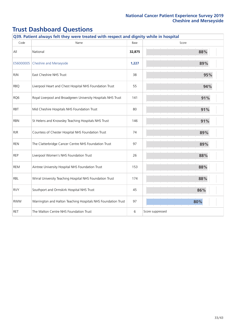|            | Q39. Patient always felt they were treated with respect and dignity while in hospital |        |                  |  |  |
|------------|---------------------------------------------------------------------------------------|--------|------------------|--|--|
| Code       | Name                                                                                  | Base   | Score            |  |  |
| All        | National                                                                              | 32,875 | 88%              |  |  |
| E56000005  | Cheshire and Merseyside                                                               | 1,227  | 89%              |  |  |
| <b>RJN</b> | East Cheshire NHS Trust                                                               | 38     | 95%              |  |  |
| <b>RBQ</b> | Liverpool Heart and Chest Hospital NHS Foundation Trust                               | 55     | 94%              |  |  |
| RQ6        | Royal Liverpool and Broadgreen University Hospitals NHS Trust                         | 141    | 91%              |  |  |
| <b>RBT</b> | Mid Cheshire Hospitals NHS Foundation Trust                                           | 80     | 91%              |  |  |
| <b>RBN</b> | St Helens and Knowsley Teaching Hospitals NHS Trust                                   | 146    | 91%              |  |  |
| <b>RJR</b> | Countess of Chester Hospital NHS Foundation Trust                                     | 74     | 89%              |  |  |
| <b>REN</b> | The Clatterbridge Cancer Centre NHS Foundation Trust                                  | 97     | 89%              |  |  |
| <b>REP</b> | Liverpool Women's NHS Foundation Trust                                                | 26     | 88%              |  |  |
| REM        | Aintree University Hospital NHS Foundation Trust                                      | 153    | 88%              |  |  |
| RBL        | Wirral University Teaching Hospital NHS Foundation Trust                              | 174    | 88%              |  |  |
| <b>RVY</b> | Southport and Ormskirk Hospital NHS Trust                                             | 45     | 86%              |  |  |
| <b>RWW</b> | Warrington and Halton Teaching Hospitals NHS Foundation Trust                         | 97     | 80%              |  |  |
| <b>RET</b> | The Walton Centre NHS Foundation Trust                                                | 6      | Score suppressed |  |  |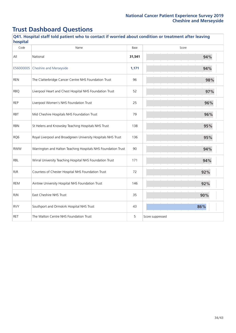| hospital<br>Code | Name                                                          | Base   | Score            |
|------------------|---------------------------------------------------------------|--------|------------------|
| All              | National                                                      | 31,541 | 94%              |
| E56000005        | <b>Cheshire and Merseyside</b>                                | 1,171  | 94%              |
| <b>REN</b>       | The Clatterbridge Cancer Centre NHS Foundation Trust          | 96     | 98%              |
| <b>RBO</b>       | Liverpool Heart and Chest Hospital NHS Foundation Trust       | 52     | 97%              |
| <b>REP</b>       | Liverpool Women's NHS Foundation Trust                        | 25     | 96%              |
| <b>RBT</b>       | Mid Cheshire Hospitals NHS Foundation Trust                   | 79     | 96%              |
| <b>RBN</b>       | St Helens and Knowsley Teaching Hospitals NHS Trust           | 138    | 95%              |
| RQ6              | Royal Liverpool and Broadgreen University Hospitals NHS Trust | 136    | 95%              |
| <b>RWW</b>       | Warrington and Halton Teaching Hospitals NHS Foundation Trust | 90     | 94%              |
| RBL              | Wirral University Teaching Hospital NHS Foundation Trust      | 171    | 94%              |
| <b>RJR</b>       | Countess of Chester Hospital NHS Foundation Trust             | 72     | 92%              |
| REM              | Aintree University Hospital NHS Foundation Trust              | 146    | 92%              |
| <b>RJN</b>       | East Cheshire NHS Trust                                       | 35     | 90%              |
| <b>RVY</b>       | Southport and Ormskirk Hospital NHS Trust                     | 43     | 86%              |
| <b>RET</b>       | The Walton Centre NHS Foundation Trust                        | 5      | Score suppressed |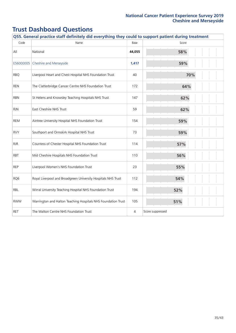| Q55. General practice staff definitely did everything they could to support patient during treatment |                                                               |        |                  |  |
|------------------------------------------------------------------------------------------------------|---------------------------------------------------------------|--------|------------------|--|
| Code                                                                                                 | Name                                                          | Base   | Score            |  |
| All                                                                                                  | National                                                      | 44,055 | 58%              |  |
| E56000005                                                                                            | Cheshire and Merseyside                                       | 1,417  | 59%              |  |
| <b>RBQ</b>                                                                                           | Liverpool Heart and Chest Hospital NHS Foundation Trust       | 40     | 70%              |  |
| <b>REN</b>                                                                                           | The Clatterbridge Cancer Centre NHS Foundation Trust          | 172    | 64%              |  |
| <b>RBN</b>                                                                                           | St Helens and Knowsley Teaching Hospitals NHS Trust           | 147    | 62%              |  |
| <b>RJN</b>                                                                                           | East Cheshire NHS Trust                                       | 59     | 62%              |  |
| REM                                                                                                  | Aintree University Hospital NHS Foundation Trust              | 154    | 59%              |  |
| <b>RVY</b>                                                                                           | Southport and Ormskirk Hospital NHS Trust                     | 73     | 59%              |  |
| <b>RJR</b>                                                                                           | Countess of Chester Hospital NHS Foundation Trust             | 114    | 57%              |  |
| <b>RBT</b>                                                                                           | Mid Cheshire Hospitals NHS Foundation Trust                   | 110    | 56%              |  |
| <b>REP</b>                                                                                           | Liverpool Women's NHS Foundation Trust                        | 23     | 55%              |  |
| RQ6                                                                                                  | Royal Liverpool and Broadgreen University Hospitals NHS Trust | 112    | 54%              |  |
| <b>RBL</b>                                                                                           | Wirral University Teaching Hospital NHS Foundation Trust      | 194    | 52%              |  |
| <b>RWW</b>                                                                                           | Warrington and Halton Teaching Hospitals NHS Foundation Trust | 105    | 51%              |  |
| <b>RET</b>                                                                                           | The Walton Centre NHS Foundation Trust                        | 4      | Score suppressed |  |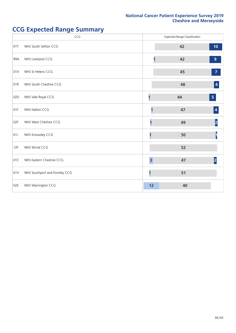## **CCG Expected Range Summary**

|     | CCG                          |                         | <b>Expected Range Classification</b> |                         |
|-----|------------------------------|-------------------------|--------------------------------------|-------------------------|
| 01T | NHS South Sefton CCG         |                         | 42                                   | 10 <sub>1</sub>         |
| 99A | NHS Liverpool CCG            |                         | 42                                   | $\overline{9}$          |
| 01X | NHS St Helens CCG            |                         | 45                                   | $\overline{7}$          |
| 01R | NHS South Cheshire CCG       |                         | 48                                   | 4                       |
| 02D | NHS Vale Royal CCG           |                         | 44                                   | $\overline{\mathbf{5}}$ |
| 01F | NHS Halton CCG               |                         | 47                                   | 4                       |
| 02F | NHS West Cheshire CCG        |                         | 49                                   | $\vert$ 2               |
| 01J | NHS Knowsley CCG             |                         | 50                                   |                         |
| 12F | NHS Wirral CCG               |                         | 52                                   |                         |
| 01C | NHS Eastern Cheshire CCG     | $\overline{\mathbf{3}}$ | 47                                   | 2                       |
| 01V | NHS Southport and Formby CCG | 1                       | 51                                   |                         |
| 02E | NHS Warrington CCG           | 12                      | 40                                   |                         |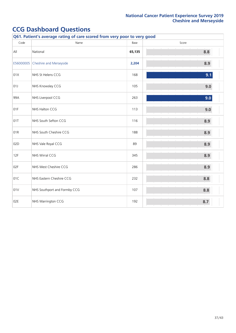| Q61. Patient's average rating of care scored from very poor to very good |                              |        |       |  |
|--------------------------------------------------------------------------|------------------------------|--------|-------|--|
| Code                                                                     | Name                         | Base   | Score |  |
| All                                                                      | National                     | 65,135 | 8.8   |  |
| E56000005                                                                | Cheshire and Merseyside      | 2,204  | 8.9   |  |
| 01X                                                                      | NHS St Helens CCG            | 168    | 9.1   |  |
| 01J                                                                      | NHS Knowsley CCG             | 105    | 9.0   |  |
| 99A                                                                      | NHS Liverpool CCG            | 263    | 9.0   |  |
| 01F                                                                      | NHS Halton CCG               | 113    | 9.0   |  |
| 01T                                                                      | NHS South Sefton CCG         | 116    | 8.9   |  |
| 01R                                                                      | NHS South Cheshire CCG       | 188    | 8.9   |  |
| 02D                                                                      | NHS Vale Royal CCG           | 89     | 8.9   |  |
| 12F                                                                      | NHS Wirral CCG               | 345    | 8.9   |  |
| 02F                                                                      | NHS West Cheshire CCG        | 286    | 8.9   |  |
| 01C                                                                      | NHS Eastern Cheshire CCG     | 232    | 8.8   |  |
| 01V                                                                      | NHS Southport and Formby CCG | 107    | 8.8   |  |
| 02E                                                                      | NHS Warrington CCG           | 192    | 8.7   |  |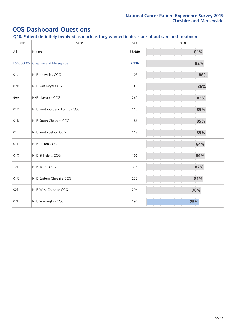| Code      | Name                         | Base   | Score |
|-----------|------------------------------|--------|-------|
| All       | National                     | 65,989 | 81%   |
| E56000005 | Cheshire and Merseyside      | 2,216  | 82%   |
| 01J       | NHS Knowsley CCG             | 105    | 88%   |
| 02D       | NHS Vale Royal CCG           | 91     | 86%   |
| 99A       | NHS Liverpool CCG            | 269    | 85%   |
| 01V       | NHS Southport and Formby CCG | 110    | 85%   |
| 01R       | NHS South Cheshire CCG       | 186    | 85%   |
| 01T       | NHS South Sefton CCG         | 118    | 85%   |
| 01F       | NHS Halton CCG               | 113    | 84%   |
| 01X       | NHS St Helens CCG            | 166    | 84%   |
| 12F       | NHS Wirral CCG               | 338    | 82%   |
| 01C       | NHS Eastern Cheshire CCG     | 232    | 81%   |
| 02F       | NHS West Cheshire CCG        | 294    | 78%   |
| 02E       | NHS Warrington CCG           | 194    | 75%   |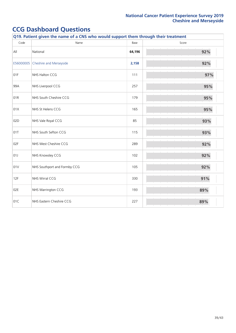| Code      | Name                         | Base   | Score |
|-----------|------------------------------|--------|-------|
| All       | National                     | 64,196 | 92%   |
| E56000005 | Cheshire and Merseyside      | 2,158  | 92%   |
| 01F       | NHS Halton CCG               | 111    | 97%   |
| 99A       | NHS Liverpool CCG            | 257    | 95%   |
| 01R       | NHS South Cheshire CCG       | 179    | 95%   |
| 01X       | NHS St Helens CCG            | 165    | 95%   |
| 02D       | NHS Vale Royal CCG           | 85     | 93%   |
| 01T       | NHS South Sefton CCG         | 115    | 93%   |
| 02F       | NHS West Cheshire CCG        | 289    | 92%   |
| 01J       | NHS Knowsley CCG             | 102    | 92%   |
| 01V       | NHS Southport and Formby CCG | 105    | 92%   |
| 12F       | NHS Wirral CCG               | 330    | 91%   |
| 02E       | NHS Warrington CCG           | 193    | 89%   |
| 01C       | NHS Eastern Cheshire CCG     | 227    | 89%   |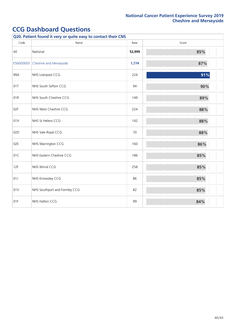| Q20. Patient found it very or quite easy to contact their CNS |                              |        |       |  |
|---------------------------------------------------------------|------------------------------|--------|-------|--|
| Code                                                          | Name                         | Base   | Score |  |
| All                                                           | National                     | 52,999 | 85%   |  |
| E56000005                                                     | Cheshire and Merseyside      | 1,774  | 87%   |  |
| 99A                                                           | NHS Liverpool CCG            | 224    | 91%   |  |
| 01T                                                           | NHS South Sefton CCG         | 94     | 90%   |  |
| 01R                                                           | NHS South Cheshire CCG       | 149    | 89%   |  |
| 02F                                                           | NHS West Cheshire CCG        | 224    | 88%   |  |
| 01X                                                           | NHS St Helens CCG            | 142    | 88%   |  |
| 02D                                                           | NHS Vale Royal CCG           | 70     | 88%   |  |
| 02E                                                           | NHS Warrington CCG           | 160    | 86%   |  |
| 01C                                                           | NHS Eastern Cheshire CCG     | 186    | 85%   |  |
| 12F                                                           | NHS Wirral CCG               | 258    | 85%   |  |
| 01J                                                           | NHS Knowsley CCG             | 86     | 85%   |  |
| 01V                                                           | NHS Southport and Formby CCG | 82     | 85%   |  |
| 01F                                                           | NHS Halton CCG               | 99     | 84%   |  |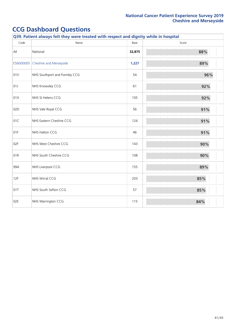|           | Q39. Patient always felt they were treated with respect and dignity while in hospital |        |       |  |  |
|-----------|---------------------------------------------------------------------------------------|--------|-------|--|--|
| Code      | Name                                                                                  | Base   | Score |  |  |
| All       | National                                                                              | 32,875 | 88%   |  |  |
| E56000005 | Cheshire and Merseyside                                                               | 1,227  | 89%   |  |  |
| 01V       | NHS Southport and Formby CCG                                                          | 54     | 96%   |  |  |
| 01J       | NHS Knowsley CCG                                                                      | 61     | 92%   |  |  |
| 01X       | NHS St Helens CCG                                                                     | 105    | 92%   |  |  |
| 02D       | NHS Vale Royal CCG                                                                    | 56     | 91%   |  |  |
| 01C       | NHS Eastern Cheshire CCG                                                              | 124    | 91%   |  |  |
| 01F       | NHS Halton CCG                                                                        | 46     | 91%   |  |  |
| 02F       | NHS West Cheshire CCG                                                                 | 143    | 90%   |  |  |
| 01R       | NHS South Cheshire CCG                                                                | 108    | 90%   |  |  |
| 99A       | NHS Liverpool CCG                                                                     | 155    | 89%   |  |  |
| 12F       | NHS Wirral CCG                                                                        | 203    | 85%   |  |  |
| 01T       | NHS South Sefton CCG                                                                  | 57     | 85%   |  |  |
| 02E       | NHS Warrington CCG                                                                    | 115    | 84%   |  |  |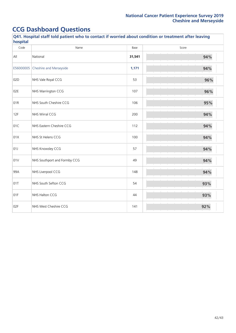| Q41. Hospital staff told patient who to contact if worried about condition or treatment after leaving<br>hospital |                              |        |       |  |
|-------------------------------------------------------------------------------------------------------------------|------------------------------|--------|-------|--|
| Code                                                                                                              | Name                         | Base   | Score |  |
| All                                                                                                               | National                     | 31,541 | 94%   |  |
| E56000005                                                                                                         | Cheshire and Merseyside      | 1,171  | 94%   |  |
| 02D                                                                                                               | NHS Vale Royal CCG           | 53     | 96%   |  |
| 02E                                                                                                               | NHS Warrington CCG           | 107    | 96%   |  |
| 01R                                                                                                               | NHS South Cheshire CCG       | 106    | 95%   |  |
| 12F                                                                                                               | NHS Wirral CCG               | 200    | 94%   |  |
| 01C                                                                                                               | NHS Eastern Cheshire CCG     | 112    | 94%   |  |
| 01X                                                                                                               | NHS St Helens CCG            | 100    | 94%   |  |
| 01J                                                                                                               | NHS Knowsley CCG             | 57     | 94%   |  |
| 01V                                                                                                               | NHS Southport and Formby CCG | 49     | 94%   |  |
| 99A                                                                                                               | NHS Liverpool CCG            | 148    | 94%   |  |
| 01T                                                                                                               | NHS South Sefton CCG         | 54     | 93%   |  |
| 01F                                                                                                               | NHS Halton CCG               | 44     | 93%   |  |
| 02F                                                                                                               | NHS West Cheshire CCG        | 141    | 92%   |  |